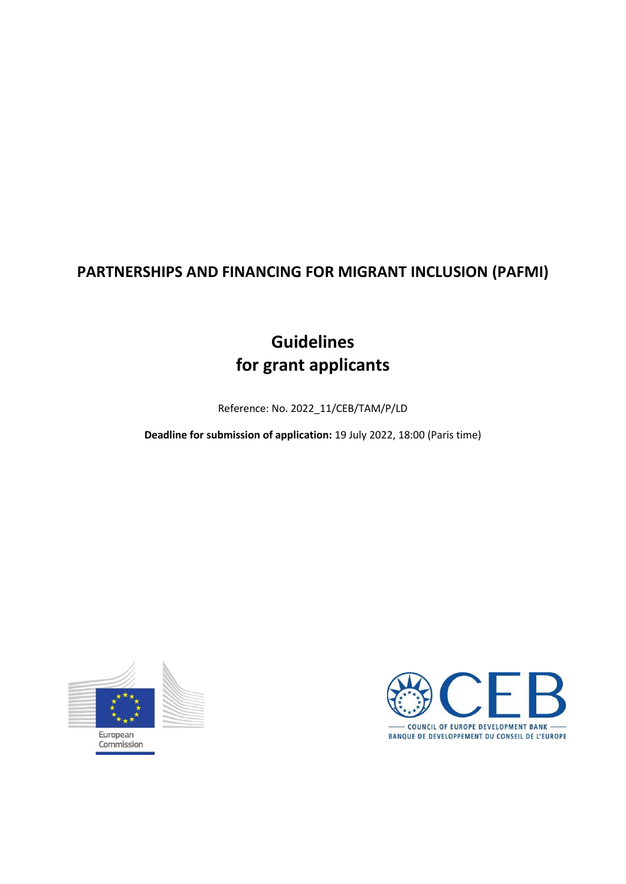# **PARTNERSHIPS AND FINANCING FOR MIGRANT INCLUSION (PAFMI)**

# **Guidelines for grant applicants**

Reference: No. 2022\_11/CEB/TAM/P/LD

**Deadline for submission of application:** 19 July 2022, 18:00 (Paris time)



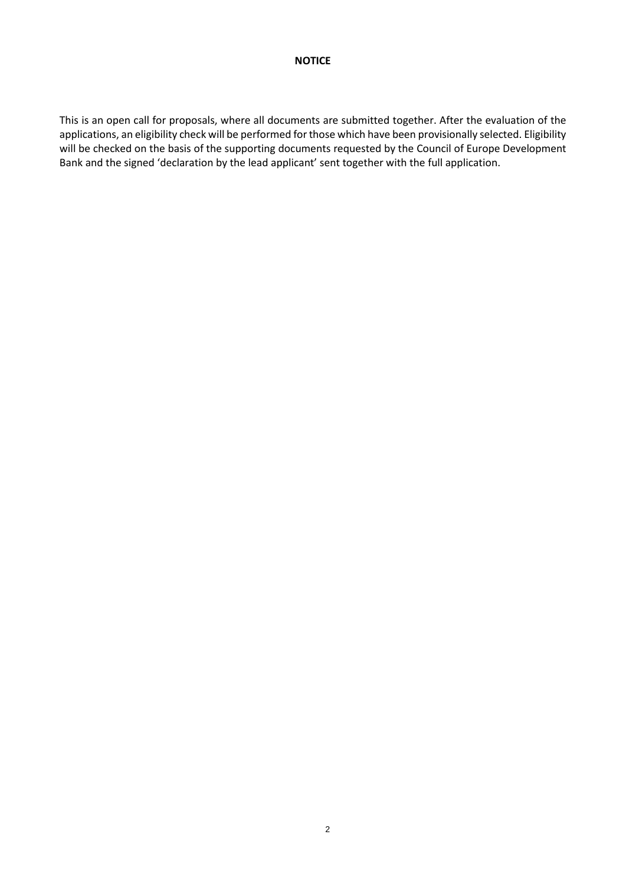## **NOTICE**

This is an open call for proposals, where all documents are submitted together. After the evaluation of the applications, an eligibility check will be performed for those which have been provisionally selected. Eligibility will be checked on the basis of the supporting documents requested by the Council of Europe Development Bank and the signed 'declaration by the lead applicant' sent together with the full application.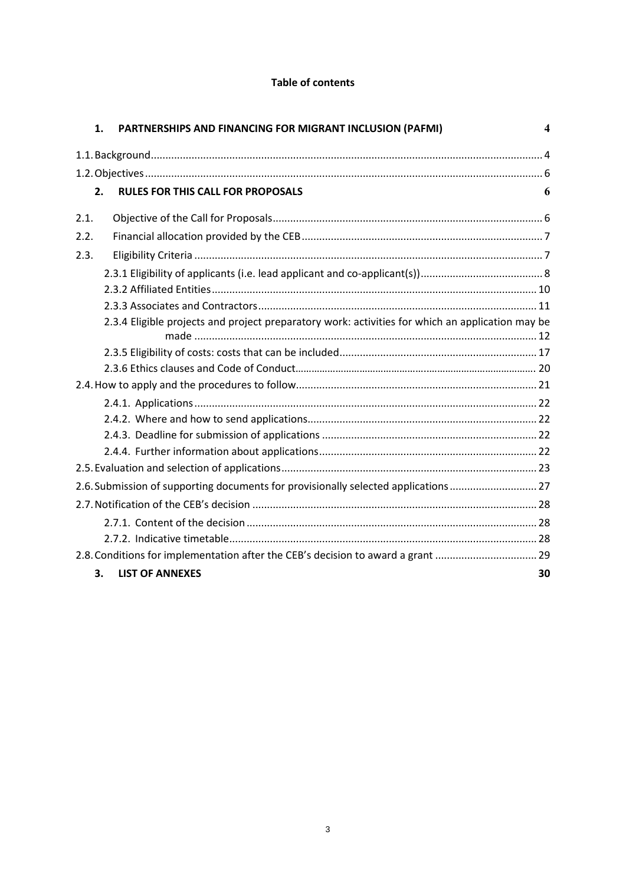# **Table of contents**

|                                                                                  | 1. | PARTNERSHIPS AND FINANCING FOR MIGRANT INCLUSION (PAFMI)<br>$\boldsymbol{4}$                     |  |  |  |  |
|----------------------------------------------------------------------------------|----|--------------------------------------------------------------------------------------------------|--|--|--|--|
|                                                                                  |    |                                                                                                  |  |  |  |  |
|                                                                                  |    |                                                                                                  |  |  |  |  |
|                                                                                  | 2. | <b>RULES FOR THIS CALL FOR PROPOSALS</b><br>6                                                    |  |  |  |  |
| 2.1.                                                                             |    |                                                                                                  |  |  |  |  |
| 2.2.                                                                             |    |                                                                                                  |  |  |  |  |
| 2.3.                                                                             |    |                                                                                                  |  |  |  |  |
|                                                                                  |    |                                                                                                  |  |  |  |  |
|                                                                                  |    |                                                                                                  |  |  |  |  |
|                                                                                  |    |                                                                                                  |  |  |  |  |
|                                                                                  |    | 2.3.4 Eligible projects and project preparatory work: activities for which an application may be |  |  |  |  |
|                                                                                  |    |                                                                                                  |  |  |  |  |
|                                                                                  |    |                                                                                                  |  |  |  |  |
|                                                                                  |    |                                                                                                  |  |  |  |  |
|                                                                                  |    |                                                                                                  |  |  |  |  |
|                                                                                  |    |                                                                                                  |  |  |  |  |
|                                                                                  |    |                                                                                                  |  |  |  |  |
|                                                                                  |    |                                                                                                  |  |  |  |  |
|                                                                                  |    |                                                                                                  |  |  |  |  |
|                                                                                  |    | 2.6. Submission of supporting documents for provisionally selected applications 27               |  |  |  |  |
|                                                                                  |    |                                                                                                  |  |  |  |  |
|                                                                                  |    |                                                                                                  |  |  |  |  |
|                                                                                  |    |                                                                                                  |  |  |  |  |
| 2.8. Conditions for implementation after the CEB's decision to award a grant  29 |    |                                                                                                  |  |  |  |  |
|                                                                                  | 3. | <b>LIST OF ANNEXES</b><br>30                                                                     |  |  |  |  |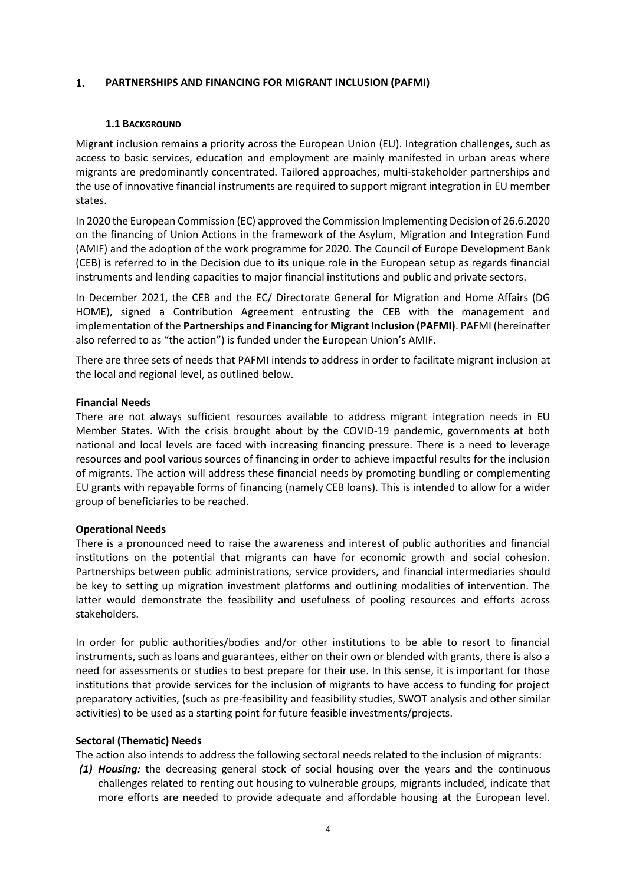#### <span id="page-3-0"></span> $1.$ **PARTNERSHIPS AND FINANCING FOR MIGRANT INCLUSION (PAFMI)**

#### **1.1 BACKGROUND**

Migrant inclusion remains a priority across the European Union (EU). Integration challenges, such as access to basic services, education and employment are mainly manifested in urban areas where migrants are predominantly concentrated. Tailored approaches, multi-stakeholder partnerships and the use of innovative financial instruments are required to support migrant integration in EU member states.

In 2020 the European Commission (EC) approved the Commission Implementing Decision of 26.6.2020 on the financing of Union Actions in the framework of the Asylum, Migration and Integration Fund (AMIF) and the adoption of the work programme for 2020. The Council of Europe Development Bank (CEB) is referred to in the Decision due to its unique role in the European setup as regards financial instruments and lending capacities to major financial institutions and public and private sectors.

In December 2021, the CEB and the EC/ Directorate General for Migration and Home Affairs (DG HOME), signed a Contribution Agreement entrusting the CEB with the management and implementation of the **Partnerships and Financing for Migrant Inclusion (PAFMI)**. PAFMI (hereinafter also referred to as "the action") is funded under the European Union's AMIF.

There are three sets of needs that PAFMI intends to address in order to facilitate migrant inclusion at the local and regional level, as outlined below.

#### **Financial Needs**

There are not always sufficient resources available to address migrant integration needs in EU Member States. With the crisis brought about by the COVID-19 pandemic, governments at both national and local levels are faced with increasing financing pressure. There is a need to leverage resources and pool various sources of financing in order to achieve impactful results for the inclusion of migrants. The action will address these financial needs by promoting bundling or complementing EU grants with repayable forms of financing (namely CEB loans). This is intended to allow for a wider group of beneficiaries to be reached.

#### **Operational Needs**

There is a pronounced need to raise the awareness and interest of public authorities and financial institutions on the potential that migrants can have for economic growth and social cohesion. Partnerships between public administrations, service providers, and financial intermediaries should be key to setting up migration investment platforms and outlining modalities of intervention. The latter would demonstrate the feasibility and usefulness of pooling resources and efforts across stakeholders.

In order for public authorities/bodies and/or other institutions to be able to resort to financial instruments, such as loans and guarantees, either on their own or blended with grants, there is also a need for assessments or studies to best prepare for their use. In this sense, it is important for those institutions that provide services for the inclusion of migrants to have access to funding for project preparatory activities, (such as pre-feasibility and feasibility studies, SWOT analysis and other similar activities) to be used as a starting point for future feasible investments/projects.

#### **Sectoral (Thematic) Needs**

The action also intends to address the following sectoral needs related to the inclusion of migrants:

*(1) Housing:* the decreasing general stock of social housing over the years and the continuous challenges related to renting out housing to vulnerable groups, migrants included, indicate that more efforts are needed to provide adequate and affordable housing at the European level.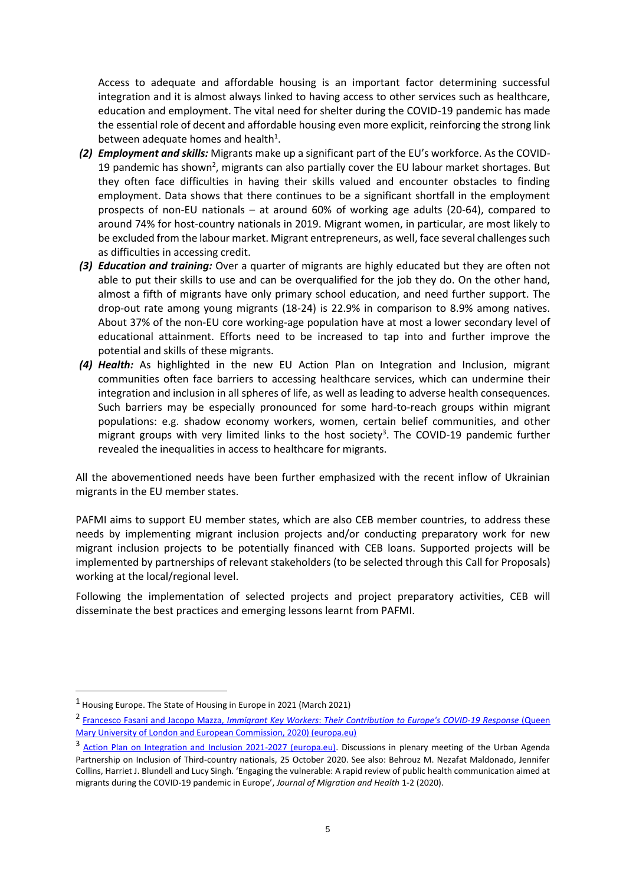Access to adequate and affordable housing is an important factor determining successful integration and it is almost always linked to having access to other services such as healthcare, education and employment. The vital need for shelter during the COVID-19 pandemic has made the essential role of decent and affordable housing even more explicit, reinforcing the strong link between adequate homes and health $^1$ .

- *(2) Employment and skills:* Migrants make up a significant part of the EU's workforce. As the COVID-19 pandemic has shown<sup>2</sup>, migrants can also partially cover the EU labour market shortages. But they often face difficulties in having their skills valued and encounter obstacles to finding employment. Data shows that there continues to be a significant shortfall in the employment prospects of non-EU nationals – at around 60% of working age adults (20-64), compared to around 74% for host-country nationals in 2019. Migrant women, in particular, are most likely to be excluded from the labour market. Migrant entrepreneurs, as well, face several challenges such as difficulties in accessing credit.
- *(3) Education and training:* Over a quarter of migrants are highly educated but they are often not able to put their skills to use and can be overqualified for the job they do. On the other hand, almost a fifth of migrants have only primary school education, and need further support. The drop-out rate among young migrants (18-24) is 22.9% in comparison to 8.9% among natives. About 37% of the non-EU core working-age population have at most a lower secondary level of educational attainment. Efforts need to be increased to tap into and further improve the potential and skills of these migrants.
- *(4) Health:* As highlighted in the new EU Action Plan on Integration and Inclusion, migrant communities often face barriers to accessing healthcare services, which can undermine their integration and inclusion in all spheres of life, as well as leading to adverse health consequences. Such barriers may be especially pronounced for some hard-to-reach groups within migrant populations: e.g. shadow economy workers, women, certain belief communities, and other migrant groups with very limited links to the host society<sup>3</sup>. The COVID-19 pandemic further revealed the inequalities in access to healthcare for migrants.

All the abovementioned needs have been further emphasized with the recent inflow of Ukrainian migrants in the EU member states.

PAFMI aims to support EU member states, which are also CEB member countries, to address these needs by implementing migrant inclusion projects and/or conducting preparatory work for new migrant inclusion projects to be potentially financed with CEB loans. Supported projects will be implemented by partnerships of relevant stakeholders (to be selected through this Call for Proposals) working at the local/regional level.

Following the implementation of selected projects and project preparatory activities, CEB will disseminate the best practices and emerging lessons learnt from PAFMI.

1

<sup>1</sup> Housing Europe. The State of Housing in Europe in 2021 (March 2021)

<sup>2</sup> [Francesco Fasani and Jacopo Mazza,](https://knowledge4policy.ec.europa.eu/sites/default/files/key_workers_covid_0423.pdf) *Immigrant Key Workers*: *Their Contribution to Europe's COVID*-*19 Response* (Queen [Mary University of London and European Commission, 2020\) \(europa.eu\)](https://knowledge4policy.ec.europa.eu/sites/default/files/key_workers_covid_0423.pdf)

<sup>&</sup>lt;sup>3</sup> [Action Plan on Integration and Inclusion 2021-2027 \(europa.eu\).](https://ec.europa.eu/home-affairs/system/files/2020-11/action_plan_on_integration_and_inclusion_2021-2027.pdf) Discussions in plenary meeting of the Urban Agenda Partnership on Inclusion of Third-country nationals, 25 October 2020. See also: Behrouz M. Nezafat Maldonado, Jennifer Collins, Harriet J. Blundell and Lucy Singh. 'Engaging the vulnerable: A rapid review of public health communication aimed at migrants during the COVID-19 pandemic in Europe', *Journal of Migration and Health* 1-2 (2020).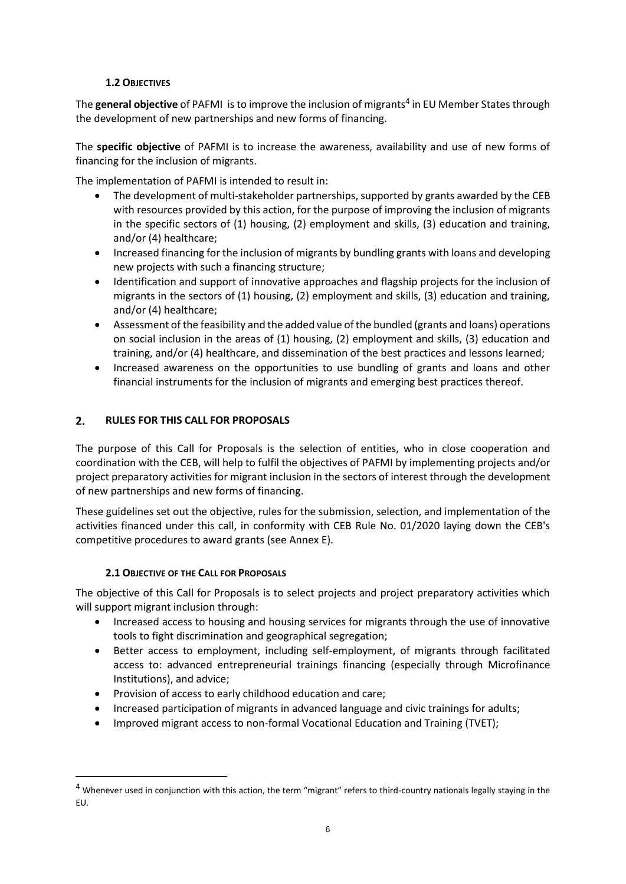# **1.2 OBJECTIVES**

<span id="page-5-0"></span>The general objective of PAFMI is to improve the inclusion of migrants<sup>4</sup> in EU Member States through the development of new partnerships and new forms of financing.

The **specific objective** of PAFMI is to increase the awareness, availability and use of new forms of financing for the inclusion of migrants.

The implementation of PAFMI is intended to result in:

- The development of multi-stakeholder partnerships, supported by grants awarded by the CEB with resources provided by this action, for the purpose of improving the inclusion of migrants in the specific sectors of (1) housing, (2) employment and skills, (3) education and training, and/or (4) healthcare;
- Increased financing for the inclusion of migrants by bundling grants with loans and developing new projects with such a financing structure;
- Identification and support of innovative approaches and flagship projects for the inclusion of migrants in the sectors of (1) housing, (2) employment and skills, (3) education and training, and/or (4) healthcare;
- Assessment of the feasibility and the added value of the bundled (grants and loans) operations on social inclusion in the areas of (1) housing, (2) employment and skills, (3) education and training, and/or (4) healthcare, and dissemination of the best practices and lessons learned;
- Increased awareness on the opportunities to use bundling of grants and loans and other financial instruments for the inclusion of migrants and emerging best practices thereof.

#### <span id="page-5-1"></span> $2.$ **RULES FOR THIS CALL FOR PROPOSALS**

The purpose of this Call for Proposals is the selection of entities, who in close cooperation and coordination with the CEB, will help to fulfil the objectives of PAFMI by implementing projects and/or project preparatory activities for migrant inclusion in the sectors of interest through the development of new partnerships and new forms of financing.

These guidelines set out the objective, rules for the submission, selection, and implementation of the activities financed under this call, in conformity with CEB Rule No. 01/2020 laying down the CEB's competitive procedures to award grants (see Annex E).

# **2.1 OBJECTIVE OF THE CALL FOR PROPOSALS**

-

<span id="page-5-2"></span>The objective of this Call for Proposals is to select projects and project preparatory activities which will support migrant inclusion through:

- Increased access to housing and housing services for migrants through the use of innovative tools to fight discrimination and geographical segregation;
- Better access to employment, including self-employment, of migrants through facilitated access to: advanced entrepreneurial trainings financing (especially through Microfinance Institutions), and advice;
- Provision of access to early childhood education and care;
- Increased participation of migrants in advanced language and civic trainings for adults;
- Improved migrant access to non-formal Vocational Education and Training (TVET);

<sup>&</sup>lt;sup>4</sup> Whenever used in conjunction with this action, the term "migrant" refers to third-country nationals legally staying in the EU.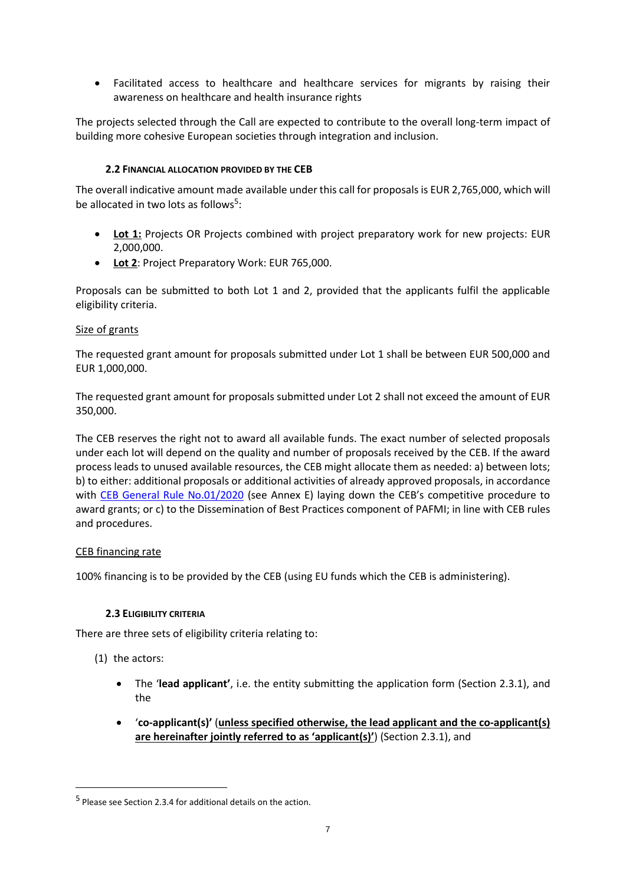• Facilitated access to healthcare and healthcare services for migrants by raising their awareness on healthcare and health insurance rights

The projects selected through the Call are expected to contribute to the overall long-term impact of building more cohesive European societies through integration and inclusion.

# **2.2 FINANCIAL ALLOCATION PROVIDED BY THE CEB**

The overall indicative amount made available under this call for proposals is EUR 2,765,000, which will be allocated in two lots as follows<sup>5</sup>:

- **Lot 1:** Projects OR Projects combined with project preparatory work for new projects: EUR 2,000,000.
- **Lot 2**: Project Preparatory Work: EUR 765,000.

Proposals can be submitted to both Lot 1 and 2, provided that the applicants fulfil the applicable eligibility criteria.

#### Size of grants

The requested grant amount for proposals submitted under Lot 1 shall be between EUR 500,000 and EUR 1,000,000.

The requested grant amount for proposals submitted under Lot 2 shall not exceed the amount of EUR 350,000.

The CEB reserves the right not to award all available funds. The exact number of selected proposals under each lot will depend on the quality and number of proposals received by the CEB. If the award process leads to unused available resources, the CEB might allocate them as needed: a) between lots; b) to either: additional proposals or additional activities of already approved proposals, in accordance with [CEB General Rule No.01/2020](https://coebank.org/en/tenders/) (see Annex E) laying down the CEB's competitive procedure to award grants; or c) to the Dissemination of Best Practices component of PAFMI; in line with CEB rules and procedures.

#### CEB financing rate

100% financing is to be provided by the CEB (using EU funds which the CEB is administering).

#### **2.3 ELIGIBILITY CRITERIA**

There are three sets of eligibility criteria relating to:

(1) the actors:

-

- The '**lead applicant'**, i.e. the entity submitting the application form (Section 2.3.1), and the
- '**co-applicant(s)'** (**unless specified otherwise, the lead applicant and the co-applicant(s) are hereinafter jointly referred to as 'applicant(s)'**) (Section 2.3.1), and

<sup>&</sup>lt;sup>5</sup> Please see Section 2.3.4 for additional details on the action.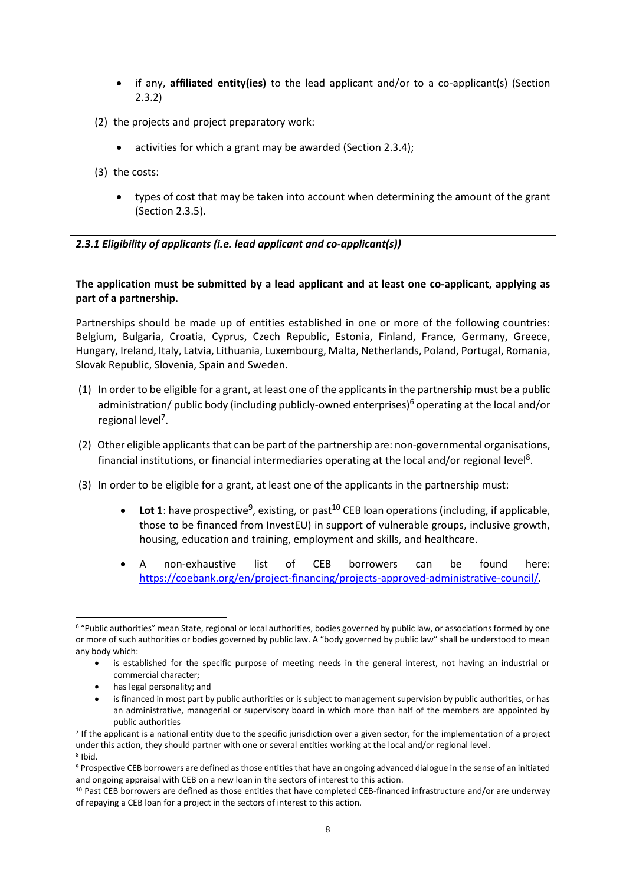- if any, **affiliated entity(ies)** to the lead applicant and/or to a co-applicant(s) (Section 2.3.2)
- (2) the projects and project preparatory work:
	- activities for which a grant may be awarded (Section 2.3.4);
- (3) the costs:
	- types of cost that may be taken into account when determining the amount of the grant (Section 2.3.5).

# <span id="page-7-0"></span>*2.3.1 Eligibility of applicants (i.e. lead applicant and co-applicant(s))*

# **The application must be submitted by a lead applicant and at least one co-applicant, applying as part of a partnership.**

Partnerships should be made up of entities established in one or more of the following countries: Belgium, Bulgaria, Croatia, Cyprus, Czech Republic, Estonia, Finland, France, Germany, Greece, Hungary, Ireland, Italy, Latvia, Lithuania, Luxembourg, Malta, Netherlands, Poland, Portugal, Romania, Slovak Republic, Slovenia, Spain and Sweden.

- (1) In order to be eligible for a grant, at least one of the applicantsin the partnership must be a public administration/ public body (including publicly-owned enterprises)<sup>6</sup> operating at the local and/or regional level<sup>7</sup>.
- (2) Other eligible applicants that can be part of the partnership are: non-governmental organisations, financial institutions, or financial intermediaries operating at the local and/or regional level<sup>8</sup>.
- (3) In order to be eligible for a grant, at least one of the applicants in the partnership must:
	- Lot 1: have prospective<sup>9</sup>, existing, or past<sup>10</sup> CEB loan operations (including, if applicable, those to be financed from InvestEU) in support of vulnerable groups, inclusive growth, housing, education and training, employment and skills, and healthcare.
	- A non-exhaustive list of CEB borrowers can be found here: [https://coebank.org/en/project-financing/projects-approved-administrative-council/.](https://coebank.org/en/project-financing/projects-approved-administrative-council/)

• has legal personality; and

1

<sup>6</sup> "Public authorities" mean State, regional or local authorities, bodies governed by public law, or associations formed by one or more of such authorities or bodies governed by public law. A "body governed by public law" shall be understood to mean any body which:

is established for the specific purpose of meeting needs in the general interest, not having an industrial or commercial character;

is financed in most part by public authorities or is subject to management supervision by public authorities, or has an administrative, managerial or supervisory board in which more than half of the members are appointed by public authorities

<sup>&</sup>lt;sup>7</sup> If the applicant is a national entity due to the specific jurisdiction over a given sector, for the implementation of a project under this action, they should partner with one or several entities working at the local and/or regional level. 8 Ibid.

<sup>9</sup> Prospective CEB borrowers are defined as those entities that have an ongoing advanced dialogue in the sense of an initiated and ongoing appraisal with CEB on a new loan in the sectors of interest to this action.

<sup>10</sup> Past CEB borrowers are defined as those entities that have completed CEB-financed infrastructure and/or are underway of repaying a CEB loan for a project in the sectors of interest to this action.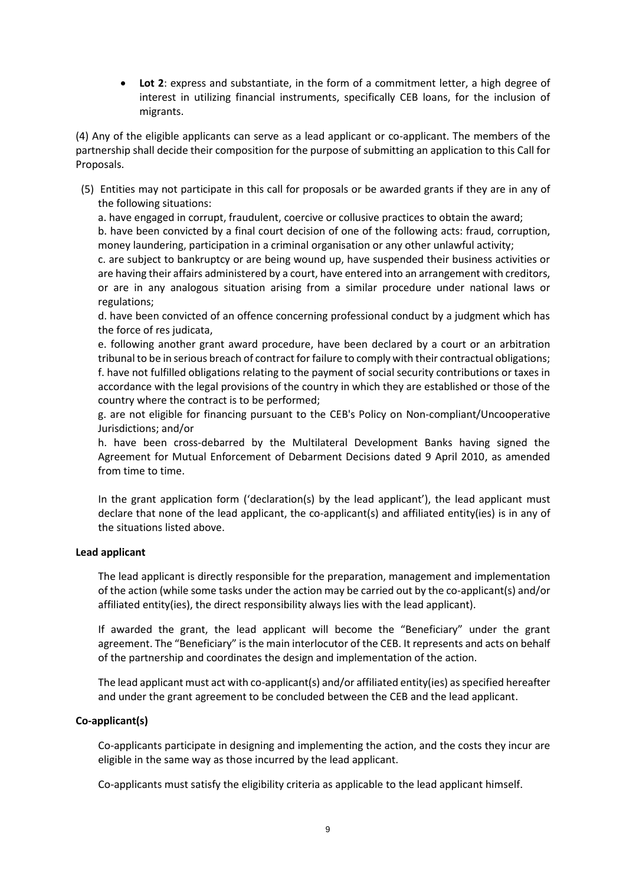• **Lot 2**: express and substantiate, in the form of a commitment letter, a high degree of interest in utilizing financial instruments, specifically CEB loans, for the inclusion of migrants.

(4) Any of the eligible applicants can serve as a lead applicant or co-applicant. The members of the partnership shall decide their composition for the purpose of submitting an application to this Call for Proposals.

(5) Entities may not participate in this call for proposals or be awarded grants if they are in any of the following situations:

a. have engaged in corrupt, fraudulent, coercive or collusive practices to obtain the award;

b. have been convicted by a final court decision of one of the following acts: fraud, corruption, money laundering, participation in a criminal organisation or any other unlawful activity;

c. are subject to bankruptcy or are being wound up, have suspended their business activities or are having their affairs administered by a court, have entered into an arrangement with creditors, or are in any analogous situation arising from a similar procedure under national laws or regulations;

d. have been convicted of an offence concerning professional conduct by a judgment which has the force of res judicata,

e. following another grant award procedure, have been declared by a court or an arbitration tribunal to be in serious breach of contract for failure to comply with their contractual obligations; f. have not fulfilled obligations relating to the payment of social security contributions or taxes in accordance with the legal provisions of the country in which they are established or those of the country where the contract is to be performed;

g. are not eligible for financing pursuant to the CEB's Policy on Non-compliant/Uncooperative Jurisdictions; and/or

h. have been cross-debarred by the Multilateral Development Banks having signed the Agreement for Mutual Enforcement of Debarment Decisions dated 9 April 2010, as amended from time to time.

In the grant application form ('declaration(s) by the lead applicant'), the lead applicant must declare that none of the lead applicant, the co-applicant(s) and affiliated entity(ies) is in any of the situations listed above.

#### **Lead applicant**

The lead applicant is directly responsible for the preparation, management and implementation of the action (while some tasks under the action may be carried out by the co-applicant(s) and/or affiliated entity(ies), the direct responsibility always lies with the lead applicant).

If awarded the grant, the lead applicant will become the "Beneficiary" under the grant agreement. The "Beneficiary" is the main interlocutor of the CEB. It represents and acts on behalf of the partnership and coordinates the design and implementation of the action.

The lead applicant must act with co-applicant(s) and/or affiliated entity(ies) as specified hereafter and under the grant agreement to be concluded between the CEB and the lead applicant.

#### **Co-applicant(s)**

Co-applicants participate in designing and implementing the action, and the costs they incur are eligible in the same way as those incurred by the lead applicant.

Co-applicants must satisfy the eligibility criteria as applicable to the lead applicant himself.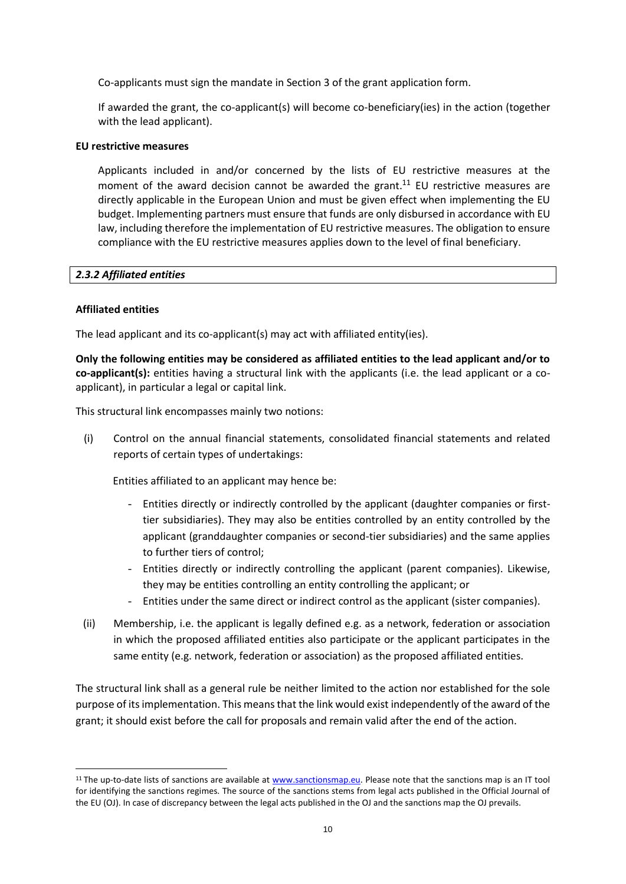Co-applicants must sign the mandate in Section 3 of the grant application form.

If awarded the grant, the co-applicant(s) will become co-beneficiary(ies) in the action (together with the lead applicant).

#### **EU restrictive measures**

Applicants included in and/or concerned by the lists of EU restrictive measures at the moment of the award decision cannot be awarded the grant.<sup>11</sup> EU restrictive measures are directly applicable in the European Union and must be given effect when implementing the EU budget. Implementing partners must ensure that funds are only disbursed in accordance with EU law, including therefore the implementation of EU restrictive measures. The obligation to ensure compliance with the EU restrictive measures applies down to the level of final beneficiary.

#### *2.3.2 Affiliated entities*

#### **Affiliated entities**

1

The lead applicant and its co-applicant(s) may act with affiliated entity(ies).

**Only the following entities may be considered as affiliated entities to the lead applicant and/or to co-applicant(s):** entities having a structural link with the applicants (i.e. the lead applicant or a coapplicant), in particular a legal or capital link.

This structural link encompasses mainly two notions:

(i) Control on the annual financial statements, consolidated financial statements and related reports of certain types of undertakings:

Entities affiliated to an applicant may hence be:

- Entities directly or indirectly controlled by the applicant (daughter companies or firsttier subsidiaries). They may also be entities controlled by an entity controlled by the applicant (granddaughter companies or second-tier subsidiaries) and the same applies to further tiers of control;
- Entities directly or indirectly controlling the applicant (parent companies). Likewise, they may be entities controlling an entity controlling the applicant; or
- Entities under the same direct or indirect control as the applicant (sister companies).
- (ii) Membership, i.e. the applicant is legally defined e.g. as a network, federation or association in which the proposed affiliated entities also participate or the applicant participates in the same entity (e.g. network, federation or association) as the proposed affiliated entities.

The structural link shall as a general rule be neither limited to the action nor established for the sole purpose of its implementation. This means that the link would exist independently of the award of the grant; it should exist before the call for proposals and remain valid after the end of the action.

<sup>&</sup>lt;sup>11</sup> The up-to-date lists of sanctions are available at [www.sanctionsmap.eu.](http://www.sanctionsmap.eu/) Please note that the sanctions map is an IT tool for identifying the sanctions regimes. The source of the sanctions stems from legal acts published in the Official Journal of the EU (OJ). In case of discrepancy between the legal acts published in the OJ and the sanctions map the OJ prevails.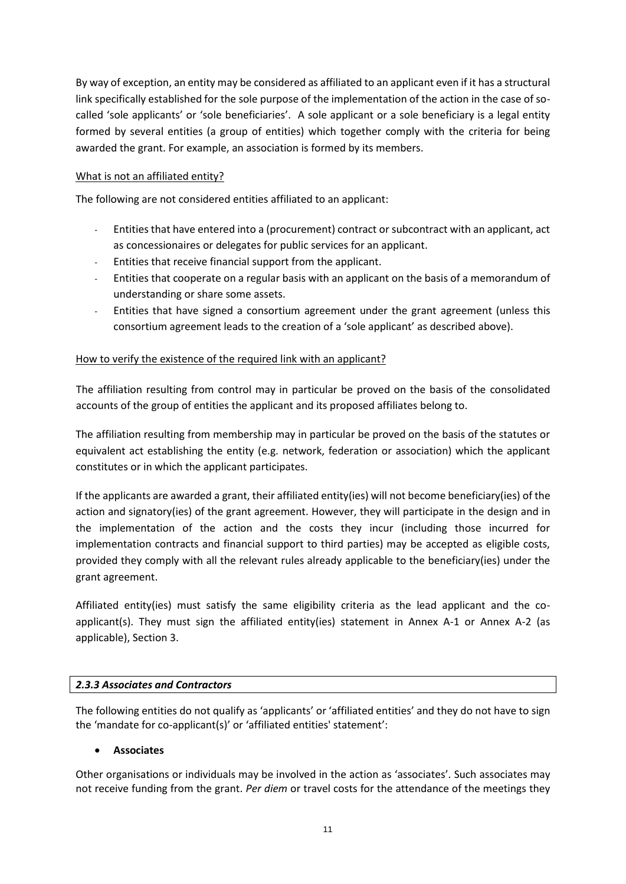By way of exception, an entity may be considered as affiliated to an applicant even if it has a structural link specifically established for the sole purpose of the implementation of the action in the case of socalled 'sole applicants' or 'sole beneficiaries'. A sole applicant or a sole beneficiary is a legal entity formed by several entities (a group of entities) which together comply with the criteria for being awarded the grant. For example, an association is formed by its members.

# What is not an affiliated entity?

The following are not considered entities affiliated to an applicant:

- Entities that have entered into a (procurement) contract or subcontract with an applicant, act as concessionaires or delegates for public services for an applicant.
- Entities that receive financial support from the applicant.
- Entities that cooperate on a regular basis with an applicant on the basis of a memorandum of understanding or share some assets.
- Entities that have signed a consortium agreement under the grant agreement (unless this consortium agreement leads to the creation of a 'sole applicant' as described above).

# How to verify the existence of the required link with an applicant?

The affiliation resulting from control may in particular be proved on the basis of the consolidated accounts of the group of entities the applicant and its proposed affiliates belong to.

The affiliation resulting from membership may in particular be proved on the basis of the statutes or equivalent act establishing the entity (e.g. network, federation or association) which the applicant constitutes or in which the applicant participates.

If the applicants are awarded a grant, their affiliated entity(ies) will not become beneficiary(ies) of the action and signatory(ies) of the grant agreement. However, they will participate in the design and in the implementation of the action and the costs they incur (including those incurred for implementation contracts and financial support to third parties) may be accepted as eligible costs, provided they comply with all the relevant rules already applicable to the beneficiary(ies) under the grant agreement.

Affiliated entity(ies) must satisfy the same eligibility criteria as the lead applicant and the coapplicant(s). They must sign the affiliated entity(ies) statement in Annex A-1 or Annex A-2 (as applicable), Section 3.

#### *2.3.3 Associates and Contractors*

The following entities do not qualify as 'applicants' or 'affiliated entities' and they do not have to sign the 'mandate for co-applicant(s)' or 'affiliated entities' statement':

#### • **Associates**

Other organisations or individuals may be involved in the action as 'associates'. Such associates may not receive funding from the grant. *Per diem* or travel costs for the attendance of the meetings they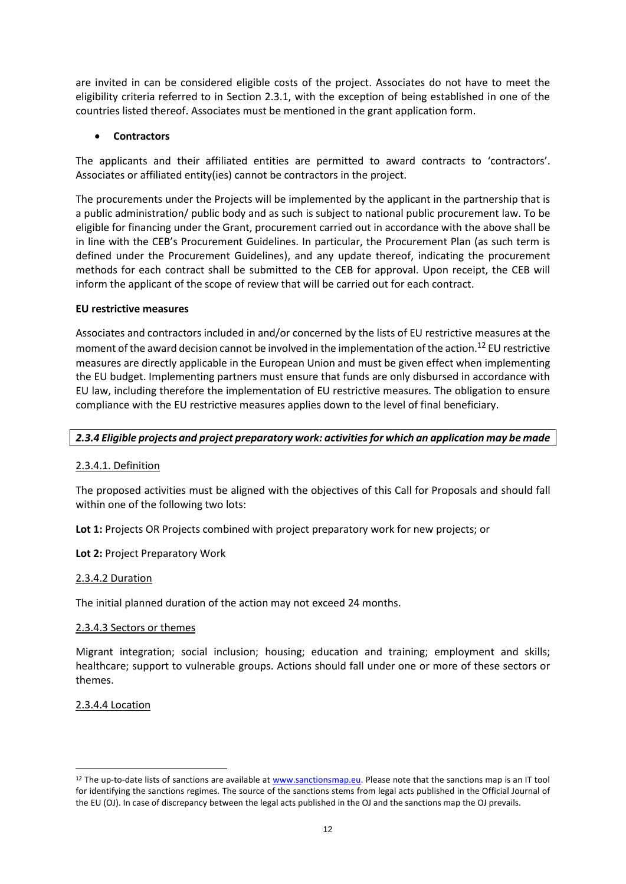are invited in can be considered eligible costs of the project. Associates do not have to meet the eligibility criteria referred to in Section 2.3.1, with the exception of being established in one of the countries listed thereof. Associates must be mentioned in the grant application form.

# • **Contractors**

The applicants and their affiliated entities are permitted to award contracts to 'contractors'. Associates or affiliated entity(ies) cannot be contractors in the project.

The procurements under the Projects will be implemented by the applicant in the partnership that is a public administration/ public body and as such is subject to national public procurement law. To be eligible for financing under the Grant, procurement carried out in accordance with the above shall be in line with the CEB's Procurement Guidelines. In particular, the Procurement Plan (as such term is defined under the Procurement Guidelines), and any update thereof, indicating the procurement methods for each contract shall be submitted to the CEB for approval. Upon receipt, the CEB will inform the applicant of the scope of review that will be carried out for each contract.

# **EU restrictive measures**

Associates and contractors included in and/or concerned by the lists of EU restrictive measures at the moment of the award decision cannot be involved in the implementation of the action.<sup>12</sup> EU restrictive measures are directly applicable in the European Union and must be given effect when implementing the EU budget. Implementing partners must ensure that funds are only disbursed in accordance with EU law, including therefore the implementation of EU restrictive measures. The obligation to ensure compliance with the EU restrictive measures applies down to the level of final beneficiary.

# <span id="page-11-0"></span>*2.3.4 Eligible projects and project preparatory work: activitiesfor which an application may be made*

# 2.3.4.1. Definition

The proposed activities must be aligned with the objectives of this Call for Proposals and should fall within one of the following two lots:

**Lot 1:** Projects OR Projects combined with project preparatory work for new projects; or

**Lot 2:** Project Preparatory Work

#### 2.3.4.2 Duration

The initial planned duration of the action may not exceed 24 months.

#### 2.3.4.3 Sectors or themes

Migrant integration; social inclusion; housing; education and training; employment and skills; healthcare; support to vulnerable groups. Actions should fall under one or more of these sectors or themes.

# 2.3.4.4 Location

1

<sup>&</sup>lt;sup>12</sup> The up-to-date lists of sanctions are available a[t www.sanctionsmap.eu.](http://www.sanctionsmap.eu/) Please note that the sanctions map is an IT tool for identifying the sanctions regimes. The source of the sanctions stems from legal acts published in the Official Journal of the EU (OJ). In case of discrepancy between the legal acts published in the OJ and the sanctions map the OJ prevails.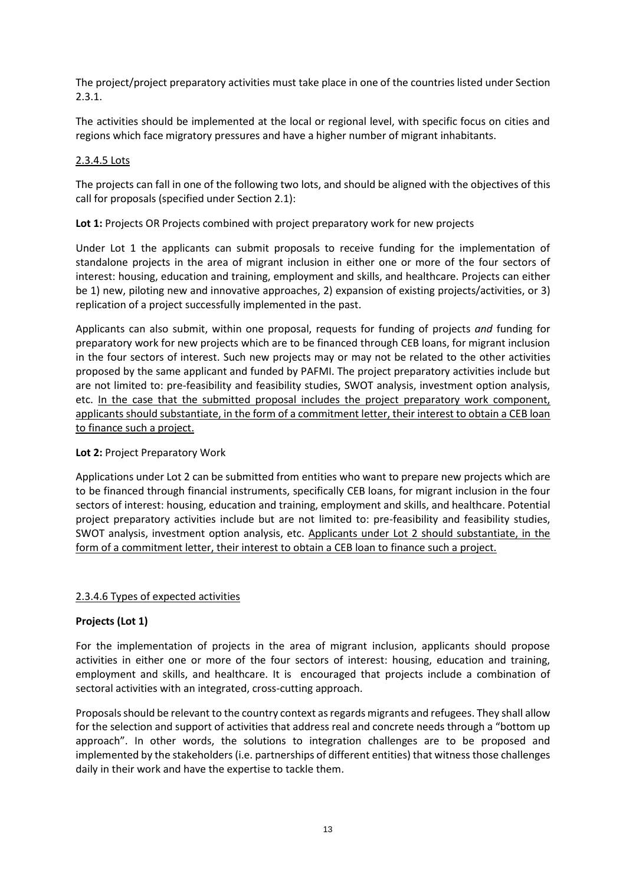The project/project preparatory activities must take place in one of the countries listed under Section 2.3.1.

The activities should be implemented at the local or regional level, with specific focus on cities and regions which face migratory pressures and have a higher number of migrant inhabitants.

#### 2.3.4.5 Lots

The projects can fall in one of the following two lots, and should be aligned with the objectives of this call for proposals (specified under Section 2.1):

# **Lot 1:** Projects OR Projects combined with project preparatory work for new projects

Under Lot 1 the applicants can submit proposals to receive funding for the implementation of standalone projects in the area of migrant inclusion in either one or more of the four sectors of interest: housing, education and training, employment and skills, and healthcare. Projects can either be 1) new, piloting new and innovative approaches, 2) expansion of existing projects/activities, or 3) replication of a project successfully implemented in the past.

Applicants can also submit, within one proposal, requests for funding of projects *and* funding for preparatory work for new projects which are to be financed through CEB loans, for migrant inclusion in the four sectors of interest. Such new projects may or may not be related to the other activities proposed by the same applicant and funded by PAFMI. The project preparatory activities include but are not limited to: pre-feasibility and feasibility studies, SWOT analysis, investment option analysis, etc. In the case that the submitted proposal includes the project preparatory work component, applicants should substantiate, in the form of a commitment letter, their interest to obtain a CEB loan to finance such a project.

#### Lot 2: Project Preparatory Work

Applications under Lot 2 can be submitted from entities who want to prepare new projects which are to be financed through financial instruments, specifically CEB loans, for migrant inclusion in the four sectors of interest: housing, education and training, employment and skills, and healthcare. Potential project preparatory activities include but are not limited to: pre-feasibility and feasibility studies, SWOT analysis, investment option analysis, etc. Applicants under Lot 2 should substantiate, in the form of a commitment letter, their interest to obtain a CEB loan to finance such a project.

#### 2.3.4.6 Types of expected activities

# **Projects (Lot 1)**

For the implementation of projects in the area of migrant inclusion, applicants should propose activities in either one or more of the four sectors of interest: housing, education and training, employment and skills, and healthcare. It is encouraged that projects include a combination of sectoral activities with an integrated, cross-cutting approach.

Proposals should be relevant to the country context as regards migrants and refugees. They shall allow for the selection and support of activities that address real and concrete needs through a "bottom up approach". In other words, the solutions to integration challenges are to be proposed and implemented by the stakeholders (i.e. partnerships of different entities) that witness those challenges daily in their work and have the expertise to tackle them.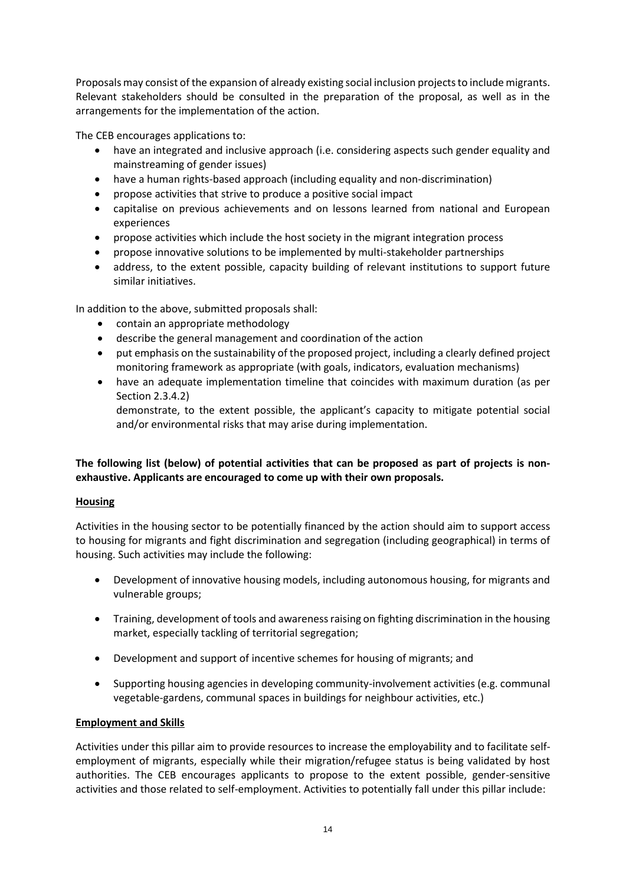Proposals may consist of the expansion of already existing social inclusion projects to include migrants. Relevant stakeholders should be consulted in the preparation of the proposal, as well as in the arrangements for the implementation of the action.

The CEB encourages applications to:

- have an integrated and inclusive approach (i.e. considering aspects such gender equality and mainstreaming of gender issues)
- have a human rights-based approach (including equality and non-discrimination)
- propose activities that strive to produce a positive social impact
- capitalise on previous achievements and on lessons learned from national and European experiences
- propose activities which include the host society in the migrant integration process
- propose innovative solutions to be implemented by multi-stakeholder partnerships
- address, to the extent possible, capacity building of relevant institutions to support future similar initiatives.

In addition to the above, submitted proposals shall:

- contain an appropriate methodology
- describe the general management and coordination of the action
- put emphasis on the sustainability of the proposed project, including a clearly defined project monitoring framework as appropriate (with goals, indicators, evaluation mechanisms)
- have an adequate implementation timeline that coincides with maximum duration (as per Section 2.3.4.2)

demonstrate, to the extent possible, the applicant's capacity to mitigate potential social and/or environmental risks that may arise during implementation.

# **The following list (below) of potential activities that can be proposed as part of projects is nonexhaustive. Applicants are encouraged to come up with their own proposals.**

# **Housing**

Activities in the housing sector to be potentially financed by the action should aim to support access to housing for migrants and fight discrimination and segregation (including geographical) in terms of housing. Such activities may include the following:

- Development of innovative housing models, including autonomous housing, for migrants and vulnerable groups;
- Training, development of tools and awareness raising on fighting discrimination in the housing market, especially tackling of territorial segregation;
- Development and support of incentive schemes for housing of migrants; and
- Supporting housing agencies in developing community-involvement activities (e.g. communal vegetable-gardens, communal spaces in buildings for neighbour activities, etc.)

# **Employment and Skills**

Activities under this pillar aim to provide resources to increase the employability and to facilitate selfemployment of migrants, especially while their migration/refugee status is being validated by host authorities. The CEB encourages applicants to propose to the extent possible, gender-sensitive activities and those related to self-employment. Activities to potentially fall under this pillar include: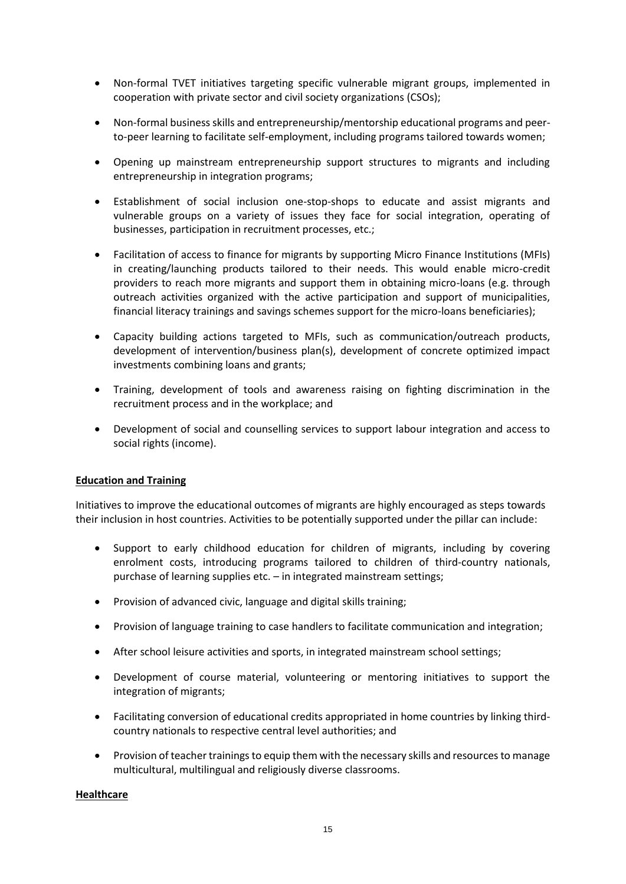- Non-formal TVET initiatives targeting specific vulnerable migrant groups, implemented in cooperation with private sector and civil society organizations (CSOs);
- Non-formal business skills and entrepreneurship/mentorship educational programs and peerto-peer learning to facilitate self-employment, including programs tailored towards women;
- Opening up mainstream entrepreneurship support structures to migrants and including entrepreneurship in integration programs;
- Establishment of social inclusion one-stop-shops to educate and assist migrants and vulnerable groups on a variety of issues they face for social integration, operating of businesses, participation in recruitment processes, etc.;
- Facilitation of access to finance for migrants by supporting Micro Finance Institutions (MFIs) in creating/launching products tailored to their needs. This would enable micro-credit providers to reach more migrants and support them in obtaining micro-loans (e.g. through outreach activities organized with the active participation and support of municipalities, financial literacy trainings and savings schemes support for the micro-loans beneficiaries);
- Capacity building actions targeted to MFIs, such as communication/outreach products, development of intervention/business plan(s), development of concrete optimized impact investments combining loans and grants;
- Training, development of tools and awareness raising on fighting discrimination in the recruitment process and in the workplace; and
- Development of social and counselling services to support labour integration and access to social rights (income).

#### **Education and Training**

Initiatives to improve the educational outcomes of migrants are highly encouraged as steps towards their inclusion in host countries. Activities to be potentially supported under the pillar can include:

- Support to early childhood education for children of migrants, including by covering enrolment costs, introducing programs tailored to children of third-country nationals, purchase of learning supplies etc. – in integrated mainstream settings;
- Provision of advanced civic, language and digital skills training;
- Provision of language training to case handlers to facilitate communication and integration;
- After school leisure activities and sports, in integrated mainstream school settings;
- Development of course material, volunteering or mentoring initiatives to support the integration of migrants;
- Facilitating conversion of educational credits appropriated in home countries by linking thirdcountry nationals to respective central level authorities; and
- Provision of teacher trainings to equip them with the necessary skills and resources to manage multicultural, multilingual and religiously diverse classrooms.

#### **Healthcare**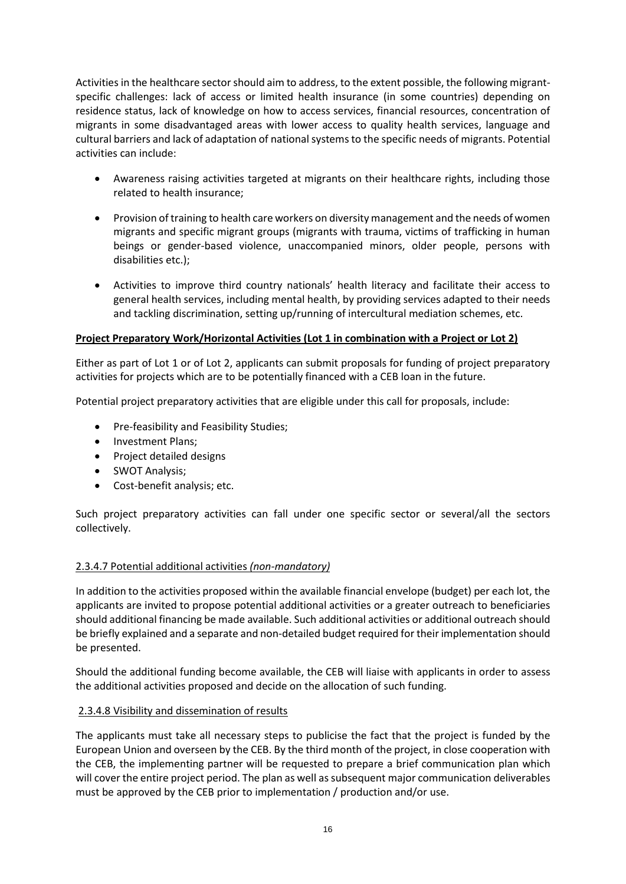Activities in the healthcare sector should aim to address, to the extent possible, the following migrantspecific challenges: lack of access or limited health insurance (in some countries) depending on residence status, lack of knowledge on how to access services, financial resources, concentration of migrants in some disadvantaged areas with lower access to quality health services, language and cultural barriers and lack of adaptation of national systems to the specific needs of migrants. Potential activities can include:

- Awareness raising activities targeted at migrants on their healthcare rights, including those related to health insurance;
- Provision of training to health care workers on diversity management and the needs of women migrants and specific migrant groups (migrants with trauma, victims of trafficking in human beings or gender-based violence, unaccompanied minors, older people, persons with disabilities etc.);
- Activities to improve third country nationals' health literacy and facilitate their access to general health services, including mental health, by providing services adapted to their needs and tackling discrimination, setting up/running of intercultural mediation schemes, etc.

# **Project Preparatory Work/Horizontal Activities (Lot 1 in combination with a Project or Lot 2)**

Either as part of Lot 1 or of Lot 2, applicants can submit proposals for funding of project preparatory activities for projects which are to be potentially financed with a CEB loan in the future.

Potential project preparatory activities that are eligible under this call for proposals, include:

- Pre-feasibility and Feasibility Studies;
- Investment Plans;
- Project detailed designs
- SWOT Analysis;
- Cost-benefit analysis; etc.

Such project preparatory activities can fall under one specific sector or several/all the sectors collectively.

#### 2.3.4.7 Potential additional activities *(non-mandatory)*

In addition to the activities proposed within the available financial envelope (budget) per each lot, the applicants are invited to propose potential additional activities or a greater outreach to beneficiaries should additional financing be made available. Such additional activities or additional outreach should be briefly explained and a separate and non-detailed budget required for their implementation should be presented.

Should the additional funding become available, the CEB will liaise with applicants in order to assess the additional activities proposed and decide on the allocation of such funding.

#### 2.3.4.8 Visibility and dissemination of results

The applicants must take all necessary steps to publicise the fact that the project is funded by the European Union and overseen by the CEB. By the third month of the project, in close cooperation with the CEB, the implementing partner will be requested to prepare a brief communication plan which will cover the entire project period. The plan as well as subsequent major communication deliverables must be approved by the CEB prior to implementation / production and/or use.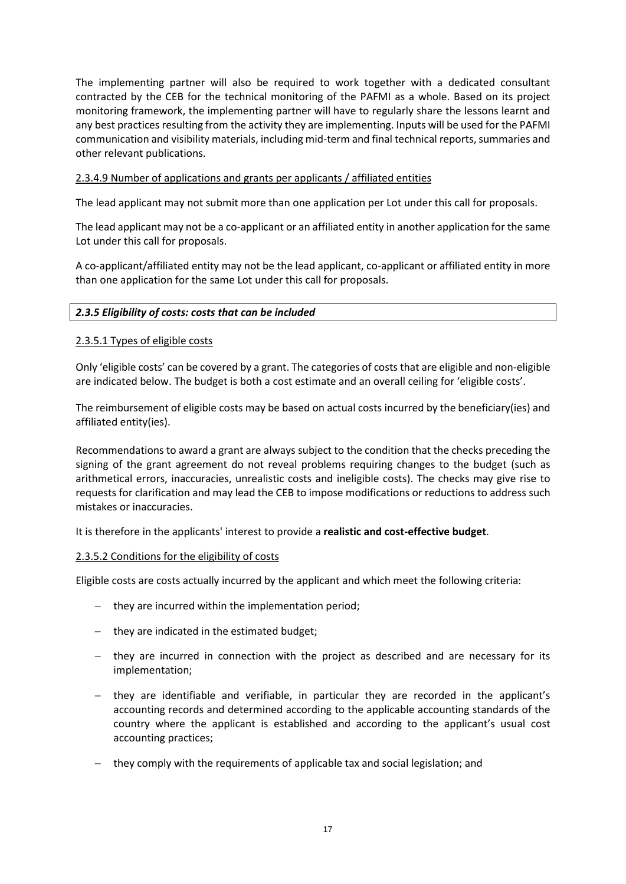The implementing partner will also be required to work together with a dedicated consultant contracted by the CEB for the technical monitoring of the PAFMI as a whole. Based on its project monitoring framework, the implementing partner will have to regularly share the lessons learnt and any best practices resulting from the activity they are implementing. Inputs will be used for the PAFMI communication and visibility materials, including mid-term and final technical reports, summaries and other relevant publications.

# 2.3.4.9 Number of applications and grants per applicants / affiliated entities

The lead applicant may not submit more than one application per Lot under this call for proposals.

The lead applicant may not be a co-applicant or an affiliated entity in another application for the same Lot under this call for proposals.

A co-applicant/affiliated entity may not be the lead applicant, co-applicant or affiliated entity in more than one application for the same Lot under this call for proposals.

#### <span id="page-16-0"></span>*2.3.5 Eligibility of costs: costs that can be included*

#### 2.3.5.1 Types of eligible costs

Only 'eligible costs' can be covered by a grant. The categories of costs that are eligible and non-eligible are indicated below. The budget is both a cost estimate and an overall ceiling for 'eligible costs'.

The reimbursement of eligible costs may be based on actual costs incurred by the beneficiary(ies) and affiliated entity(ies).

Recommendations to award a grant are always subject to the condition that the checks preceding the signing of the grant agreement do not reveal problems requiring changes to the budget (such as arithmetical errors, inaccuracies, unrealistic costs and ineligible costs). The checks may give rise to requests for clarification and may lead the CEB to impose modifications or reductions to address such mistakes or inaccuracies.

#### It is therefore in the applicants' interest to provide a **realistic and cost-effective budget**.

#### 2.3.5.2 Conditions for the eligibility of costs

Eligible costs are costs actually incurred by the applicant and which meet the following criteria:

- − they are incurred within the implementation period;
- − they are indicated in the estimated budget;
- − they are incurred in connection with the project as described and are necessary for its implementation;
- − they are identifiable and verifiable, in particular they are recorded in the applicant's accounting records and determined according to the applicable accounting standards of the country where the applicant is established and according to the applicant's usual cost accounting practices;
- − they comply with the requirements of applicable tax and social legislation; and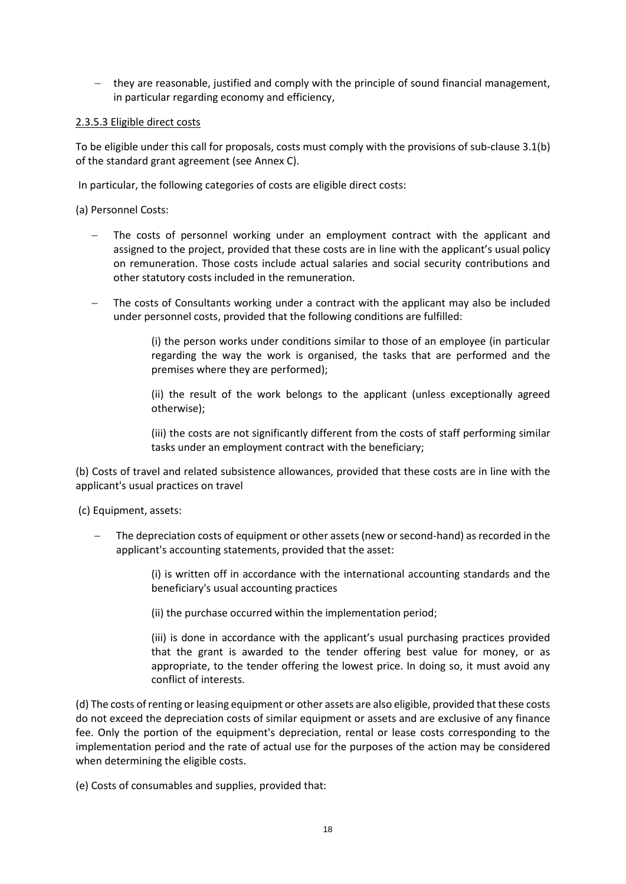− they are reasonable, justified and comply with the principle of sound financial management, in particular regarding economy and efficiency,

## 2.3.5.3 Eligible direct costs

To be eligible under this call for proposals, costs must comply with the provisions of sub-clause 3.1(b) of the standard grant agreement (see Annex C).

In particular, the following categories of costs are eligible direct costs:

(a) Personnel Costs:

- The costs of personnel working under an employment contract with the applicant and assigned to the project, provided that these costs are in line with the applicant's usual policy on remuneration. Those costs include actual salaries and social security contributions and other statutory costs included in the remuneration.
- The costs of Consultants working under a contract with the applicant may also be included under personnel costs, provided that the following conditions are fulfilled:

(i) the person works under conditions similar to those of an employee (in particular regarding the way the work is organised, the tasks that are performed and the premises where they are performed);

(ii) the result of the work belongs to the applicant (unless exceptionally agreed otherwise);

(iii) the costs are not significantly different from the costs of staff performing similar tasks under an employment contract with the beneficiary;

(b) Costs of travel and related subsistence allowances, provided that these costs are in line with the applicant's usual practices on travel

(c) Equipment, assets:

The depreciation costs of equipment or other assets (new or second-hand) as recorded in the applicant's accounting statements, provided that the asset:

> (i) is written off in accordance with the international accounting standards and the beneficiary's usual accounting practices

(ii) the purchase occurred within the implementation period;

(iii) is done in accordance with the applicant's usual purchasing practices provided that the grant is awarded to the tender offering best value for money, or as appropriate, to the tender offering the lowest price. In doing so, it must avoid any conflict of interests.

(d) The costs of renting or leasing equipment or other assets are also eligible, provided that these costs do not exceed the depreciation costs of similar equipment or assets and are exclusive of any finance fee. Only the portion of the equipment's depreciation, rental or lease costs corresponding to the implementation period and the rate of actual use for the purposes of the action may be considered when determining the eligible costs.

(e) Costs of consumables and supplies, provided that: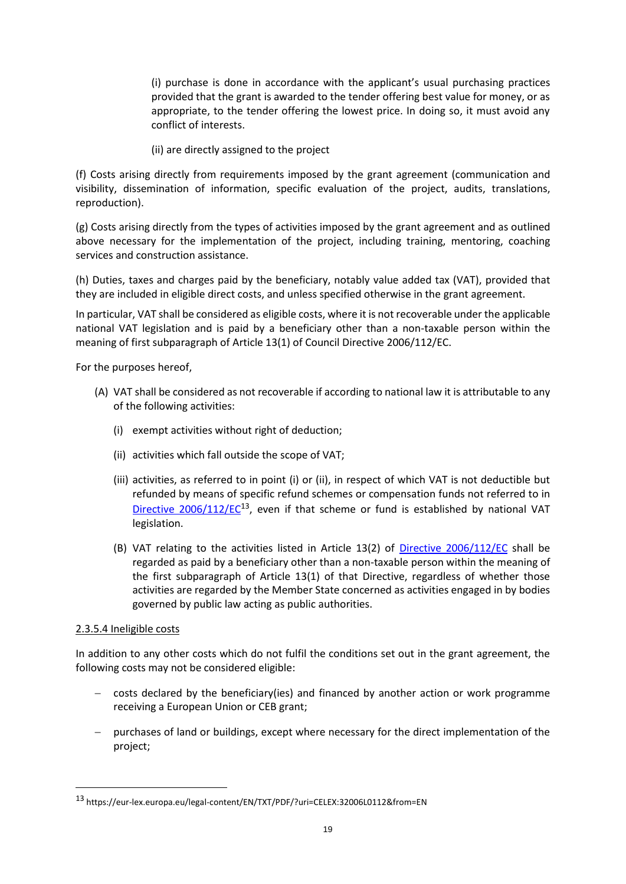(i) purchase is done in accordance with the applicant's usual purchasing practices provided that the grant is awarded to the tender offering best value for money, or as appropriate, to the tender offering the lowest price. In doing so, it must avoid any conflict of interests.

(ii) are directly assigned to the project

(f) Costs arising directly from requirements imposed by the grant agreement (communication and visibility, dissemination of information, specific evaluation of the project, audits, translations, reproduction).

(g) Costs arising directly from the types of activities imposed by the grant agreement and as outlined above necessary for the implementation of the project, including training, mentoring, coaching services and construction assistance.

(h) Duties, taxes and charges paid by the beneficiary, notably value added tax (VAT), provided that they are included in eligible direct costs, and unless specified otherwise in the grant agreement.

In particular, VAT shall be considered as eligible costs, where it is not recoverable under the applicable national VAT legislation and is paid by a beneficiary other than a non-taxable person within the meaning of first subparagraph of Article 13(1) of Council Directive 2006/112/EC.

For the purposes hereof,

- (A) VAT shall be considered as not recoverable if according to national law it is attributable to any of the following activities:
	- (i) exempt activities without right of deduction;
	- (ii) activities which fall outside the scope of VAT;
	- (iii) activities, as referred to in point (i) or (ii), in respect of which VAT is not deductible but refunded by means of specific refund schemes or compensation funds not referred to in Directive  $2006/112/EC^{13}$ , even if that scheme or fund is established by national VAT legislation.
	- (B) VAT relating to the activities listed in Article 13(2) of [Directive 2006/112/EC](https://eur-lex.europa.eu/legal-content/EN/TXT/PDF/?uri=CELEX:32006L0112&from=EN) shall be regarded as paid by a beneficiary other than a non-taxable person within the meaning of the first subparagraph of Article 13(1) of that Directive, regardless of whether those activities are regarded by the Member State concerned as activities engaged in by bodies governed by public law acting as public authorities.

#### 2.3.5.4 Ineligible costs

-

In addition to any other costs which do not fulfil the conditions set out in the grant agreement, the following costs may not be considered eligible:

- − costs declared by the beneficiary(ies) and financed by another action or work programme receiving a European Union or CEB grant;
- − purchases of land or buildings, except where necessary for the direct implementation of the project;

<sup>13</sup> https://eur-lex.europa.eu/legal-content/EN/TXT/PDF/?uri=CELEX:32006L0112&from=EN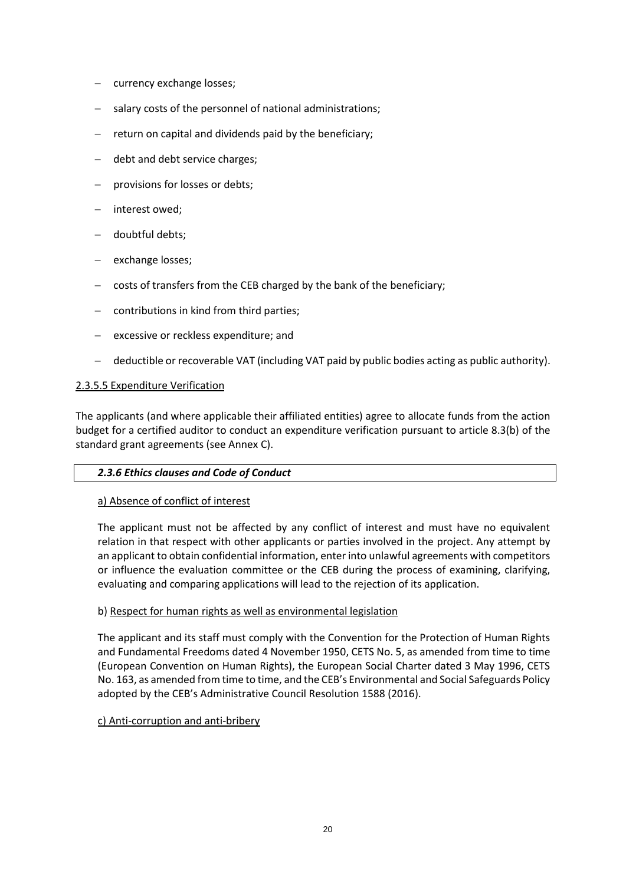- − currency exchange losses;
- salary costs of the personnel of national administrations;
- return on capital and dividends paid by the beneficiary;
- debt and debt service charges;
- provisions for losses or debts;
- − interest owed;
- − doubtful debts;
- exchange losses;
- − costs of transfers from the CEB charged by the bank of the beneficiary;
- contributions in kind from third parties;
- excessive or reckless expenditure; and
- − deductible or recoverable VAT (including VAT paid by public bodies acting as public authority).

#### 2.3.5.5 Expenditure Verification

The applicants (and where applicable their affiliated entities) agree to allocate funds from the action budget for a certified auditor to conduct an expenditure verification pursuant to article 8.3(b) of the standard grant agreements (see Annex C).

#### *2.3.6 Ethics clauses and Code of Conduct*

#### a) Absence of conflict of interest

The applicant must not be affected by any conflict of interest and must have no equivalent relation in that respect with other applicants or parties involved in the project. Any attempt by an applicant to obtain confidential information, enter into unlawful agreements with competitors or influence the evaluation committee or the CEB during the process of examining, clarifying, evaluating and comparing applications will lead to the rejection of its application.

#### b) Respect for human rights as well as environmental legislation

The applicant and its staff must comply with the Convention for the Protection of Human Rights and Fundamental Freedoms dated 4 November 1950, CETS No. 5, as amended from time to time (European Convention on Human Rights), the European Social Charter dated 3 May 1996, CETS No. 163, as amended from time to time, and the CEB's Environmental and Social Safeguards Policy adopted by the CEB's Administrative Council Resolution 1588 (2016).

#### c) Anti-corruption and anti-bribery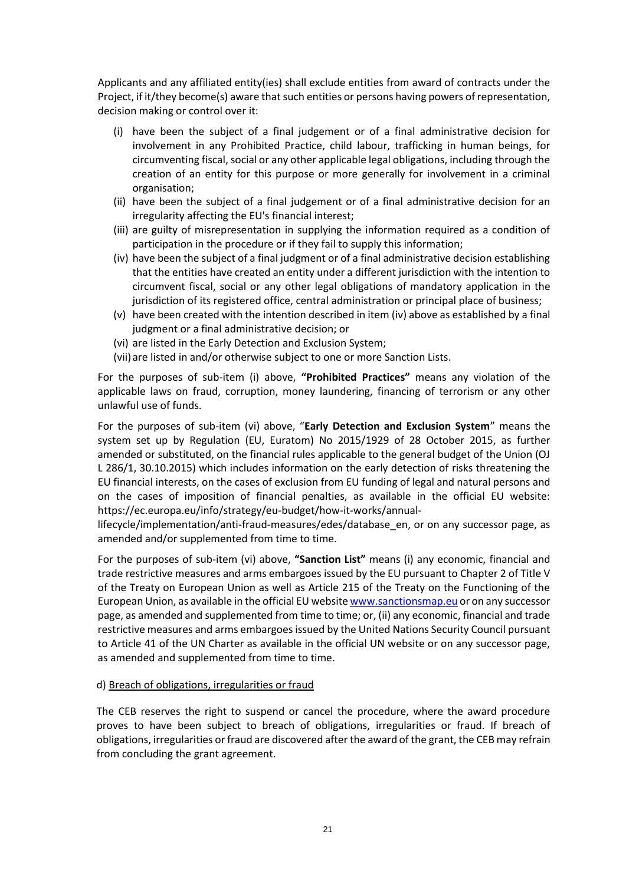Applicants and any affiliated entity(ies) shall exclude entities from award of contracts under the Project, if it/they become(s) aware that such entities or persons having powers of representation, decision making or control over it:

- (i) have been the subject of a final judgement or of a final administrative decision for involvement in any Prohibited Practice, child labour, trafficking in human beings, for circumventing fiscal, social or any other applicable legal obligations, including through the creation of an entity for this purpose or more generally for involvement in a criminal organisation;
- (ii) have been the subject of a final judgement or of a final administrative decision for an irregularity affecting the EU's financial interest;
- (iii) are guilty of misrepresentation in supplying the information required as a condition of participation in the procedure or if they fail to supply this information;
- (iv) have been the subject of a final judgment or of a final administrative decision establishing that the entities have created an entity under a different jurisdiction with the intention to circumvent fiscal, social or any other legal obligations of mandatory application in the jurisdiction of its registered office, central administration or principal place of business;
- (v) have been created with the intention described in item (iv) above as established by a final judgment or a final administrative decision; or
- (vi) are listed in the Early Detection and Exclusion System;
- (vii) are listed in and/or otherwise subject to one or more Sanction Lists.

For the purposes of sub-item (i) above, **"Prohibited Practices"** means any violation of the applicable laws on fraud, corruption, money laundering, financing of terrorism or any other unlawful use of funds.

For the purposes of sub-item (vi) above, "**Early Detection and Exclusion System**" means the system set up by Regulation (EU, Euratom) No 2015/1929 of 28 October 2015, as further amended or substituted, on the financial rules applicable to the general budget of the Union (OJ L 286/1, 30.10.2015) which includes information on the early detection of risks threatening the EU financial interests, on the cases of exclusion from EU funding of legal and natural persons and on the cases of imposition of financial penalties, as available in the official EU website: [https://ec.europa.eu/info/strategy/eu-budget/how-it-works/annual-](https://ec.europa.eu/info/strategy/eu-budget/how-it-works/annual-lifecycle/implementation/anti-fraud-measures/edes/database_en)

[lifecycle/implementation/anti-fraud-measures/edes/database\\_en,](https://ec.europa.eu/info/strategy/eu-budget/how-it-works/annual-lifecycle/implementation/anti-fraud-measures/edes/database_en) or on any successor page, as amended and/or supplemented from time to time.

For the purposes of sub-item (vi) above, **"Sanction List"** means (i) any economic, financial and trade restrictive measures and arms embargoes issued by the EU pursuant to Chapter 2 of Title V of the Treaty on European Union as well as Article 215 of the Treaty on the Functioning of the European Union, as available in the official EU websit[e www.sanctionsmap.eu](http://www.sanctionsmap.eu/) or on any successor page, as amended and supplemented from time to time; or, (ii) any economic, financial and trade restrictive measures and arms embargoes issued by the United Nations Security Council pursuant to Article 41 of the UN Charter as available in the official UN website or on any successor page, as amended and supplemented from time to time.

#### d) Breach of obligations, irregularities or fraud

The CEB reserves the right to suspend or cancel the procedure, where the award procedure proves to have been subject to breach of obligations, irregularities or fraud. If breach of obligations, irregularities or fraud are discovered after the award of the grant, the CEB may refrain from concluding the grant agreement.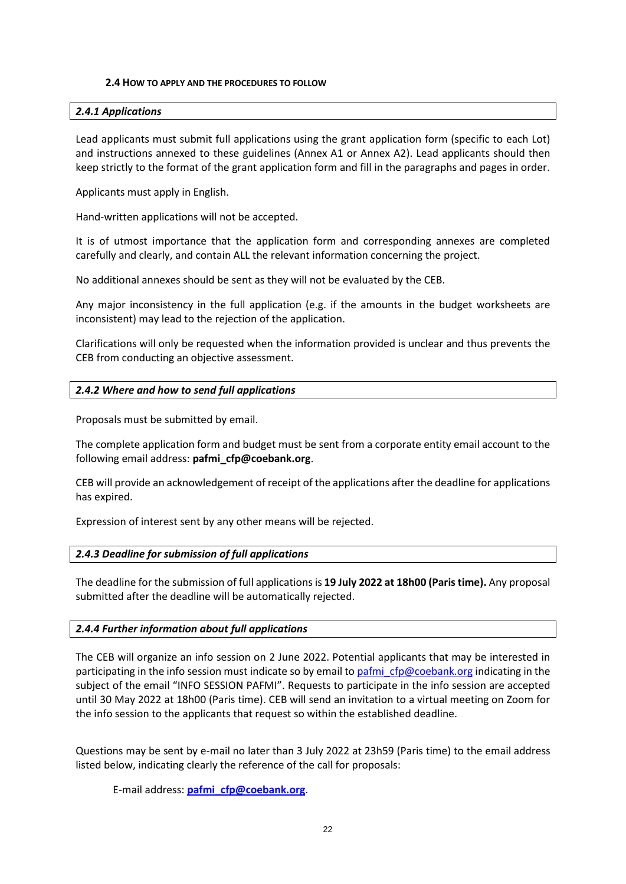#### **2.4 HOW TO APPLY AND THE PROCEDURES TO FOLLOW**

#### <span id="page-21-1"></span><span id="page-21-0"></span>*2.4.1 Applications*

Lead applicants must submit full applications using the grant application form (specific to each Lot) and instructions annexed to these guidelines (Annex A1 or Annex A2). Lead applicants should then keep strictly to the format of the grant application form and fill in the paragraphs and pages in order.

Applicants must apply in English.

Hand-written applications will not be accepted.

It is of utmost importance that the application form and corresponding annexes are completed carefully and clearly, and contain ALL the relevant information concerning the project.

No additional annexes should be sent as they will not be evaluated by the CEB.

Any major inconsistency in the full application (e.g. if the amounts in the budget worksheets are inconsistent) may lead to the rejection of the application.

Clarifications will only be requested when the information provided is unclear and thus prevents the CEB from conducting an objective assessment.

# <span id="page-21-2"></span>*2.4.2 Where and how to send full applications*

Proposals must be submitted by email.

The complete application form and budget must be sent from a corporate entity email account to the following email address: **pafmi\_cfp@coebank.org**.

CEB will provide an acknowledgement of receipt of the applications after the deadline for applications has expired.

Expression of interest sent by any other means will be rejected.

# <span id="page-21-3"></span>*2.4.3 Deadline for submission of full applications*

The deadline for the submission of full applications is **19 July 2022 at 18h00 (Paris time).** Any proposal submitted after the deadline will be automatically rejected.

# <span id="page-21-4"></span>*2.4.4 Further information about full applications*

The CEB will organize an info session on 2 June 2022. Potential applicants that may be interested in participating in the info session must indicate so by email t[o pafmi\\_cfp@coebank.org](mailto:pafmi_cfp@coebank.org) indicating in the subject of the email "INFO SESSION PAFMI". Requests to participate in the info session are accepted until 30 May 2022 at 18h00 (Paris time). CEB will send an invitation to a virtual meeting on Zoom for the info session to the applicants that request so within the established deadline.

Questions may be sent by e-mail no later than 3 July 2022 at 23h59 (Paris time) to the email address listed below, indicating clearly the reference of the call for proposals:

E-mail address: **[pafmi\\_cfp@coebank.org](mailto:pafmi_cfp@coebank.org)**.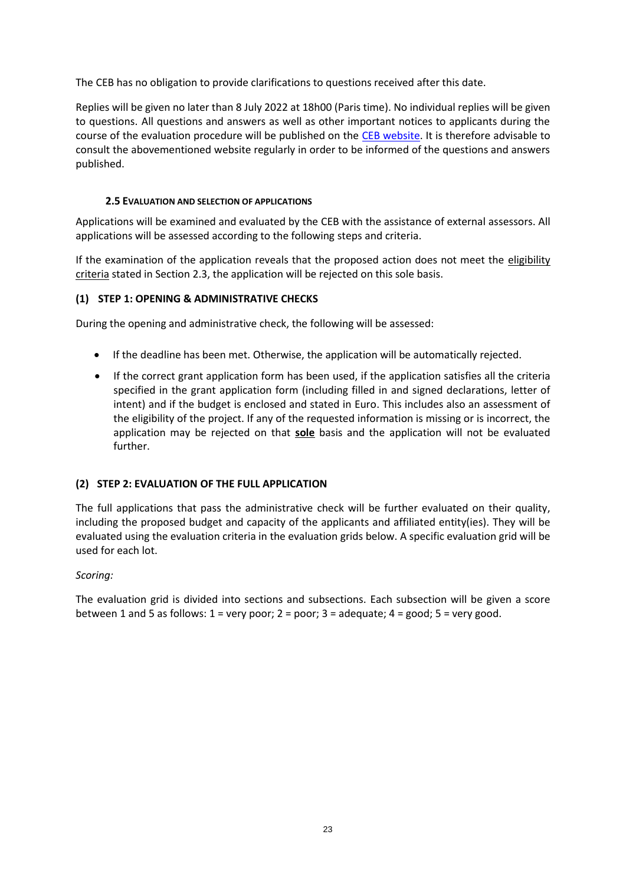The CEB has no obligation to provide clarifications to questions received after this date.

Replies will be given no later than 8 July 2022 at 18h00 (Paris time). No individual replies will be given to questions. All questions and answers as well as other important notices to applicants during the course of the evaluation procedure will be published on the [CEB website.](http://www.coebank.org/) It is therefore advisable to consult the abovementioned website regularly in order to be informed of the questions and answers published.

# **2.5 EVALUATION AND SELECTION OF APPLICATIONS**

<span id="page-22-0"></span>Applications will be examined and evaluated by the CEB with the assistance of external assessors. All applications will be assessed according to the following steps and criteria.

If the examination of the application reveals that the proposed action does not meet the eligibility criteria stated in Section 2.3, the application will be rejected on this sole basis.

# **(1) STEP 1: OPENING & ADMINISTRATIVE CHECKS**

During the opening and administrative check, the following will be assessed:

- If the deadline has been met. Otherwise, the application will be automatically rejected.
- If the correct grant application form has been used, if the application satisfies all the criteria specified in the grant application form (including filled in and signed declarations, letter of intent) and if the budget is enclosed and stated in Euro. This includes also an assessment of the eligibility of the project. If any of the requested information is missing or is incorrect, the application may be rejected on that **sole** basis and the application will not be evaluated further.

# **(2) STEP 2: EVALUATION OF THE FULL APPLICATION**

The full applications that pass the administrative check will be further evaluated on their quality, including the proposed budget and capacity of the applicants and affiliated entity(ies). They will be evaluated using the evaluation criteria in the evaluation grids below. A specific evaluation grid will be used for each lot.

# *Scoring:*

The evaluation grid is divided into sections and subsections. Each subsection will be given a score between 1 and 5 as follows:  $1 = \text{very poor}$ ;  $2 = \text{poor}$ ;  $3 = \text{adequate}$ ;  $4 = \text{good}$ ;  $5 = \text{very good}$ .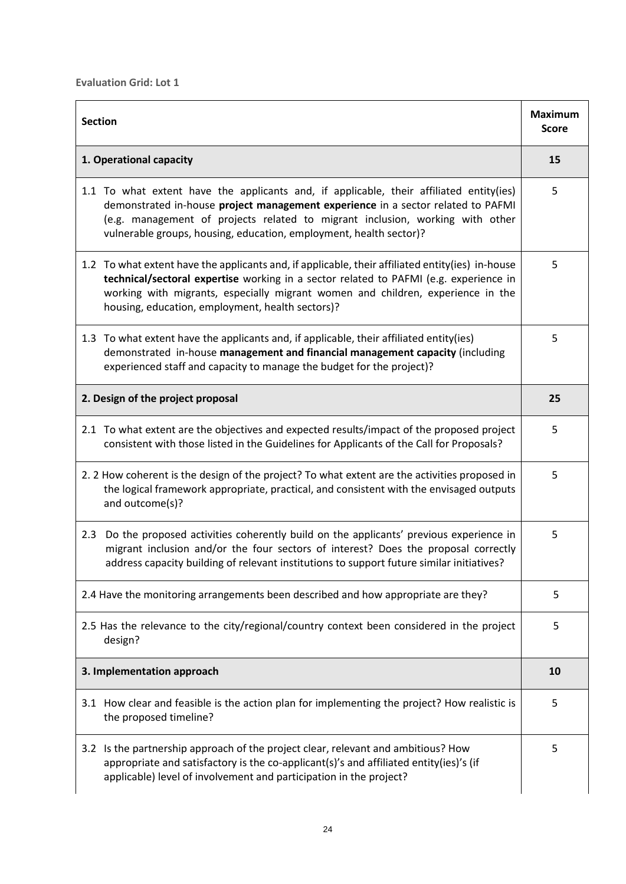| <b>Section</b>                                                                                                                                                                                                                                                                                                                     |   |  |
|------------------------------------------------------------------------------------------------------------------------------------------------------------------------------------------------------------------------------------------------------------------------------------------------------------------------------------|---|--|
| 1. Operational capacity                                                                                                                                                                                                                                                                                                            |   |  |
| 1.1 To what extent have the applicants and, if applicable, their affiliated entity(ies)<br>demonstrated in-house project management experience in a sector related to PAFMI<br>(e.g. management of projects related to migrant inclusion, working with other<br>vulnerable groups, housing, education, employment, health sector)? | 5 |  |
| 1.2 To what extent have the applicants and, if applicable, their affiliated entity(ies) in-house<br>technical/sectoral expertise working in a sector related to PAFMI (e.g. experience in<br>working with migrants, especially migrant women and children, experience in the<br>housing, education, employment, health sectors)?   | 5 |  |
| 1.3 To what extent have the applicants and, if applicable, their affiliated entity(ies)<br>demonstrated in-house management and financial management capacity (including<br>experienced staff and capacity to manage the budget for the project)?                                                                                  | 5 |  |
| 2. Design of the project proposal                                                                                                                                                                                                                                                                                                  |   |  |
| 2.1 To what extent are the objectives and expected results/impact of the proposed project<br>consistent with those listed in the Guidelines for Applicants of the Call for Proposals?                                                                                                                                              | 5 |  |
| 2. 2 How coherent is the design of the project? To what extent are the activities proposed in<br>the logical framework appropriate, practical, and consistent with the envisaged outputs<br>and outcome(s)?                                                                                                                        | 5 |  |
| Do the proposed activities coherently build on the applicants' previous experience in<br>2.3<br>migrant inclusion and/or the four sectors of interest? Does the proposal correctly<br>address capacity building of relevant institutions to support future similar initiatives?                                                    | 5 |  |
| 2.4 Have the monitoring arrangements been described and how appropriate are they?                                                                                                                                                                                                                                                  |   |  |
| 2.5 Has the relevance to the city/regional/country context been considered in the project<br>design?                                                                                                                                                                                                                               | 5 |  |
| 3. Implementation approach                                                                                                                                                                                                                                                                                                         |   |  |
| 3.1 How clear and feasible is the action plan for implementing the project? How realistic is<br>the proposed timeline?                                                                                                                                                                                                             | 5 |  |
| Is the partnership approach of the project clear, relevant and ambitious? How<br>3.2<br>appropriate and satisfactory is the co-applicant(s)'s and affiliated entity(ies)'s (if<br>applicable) level of involvement and participation in the project?                                                                               | 5 |  |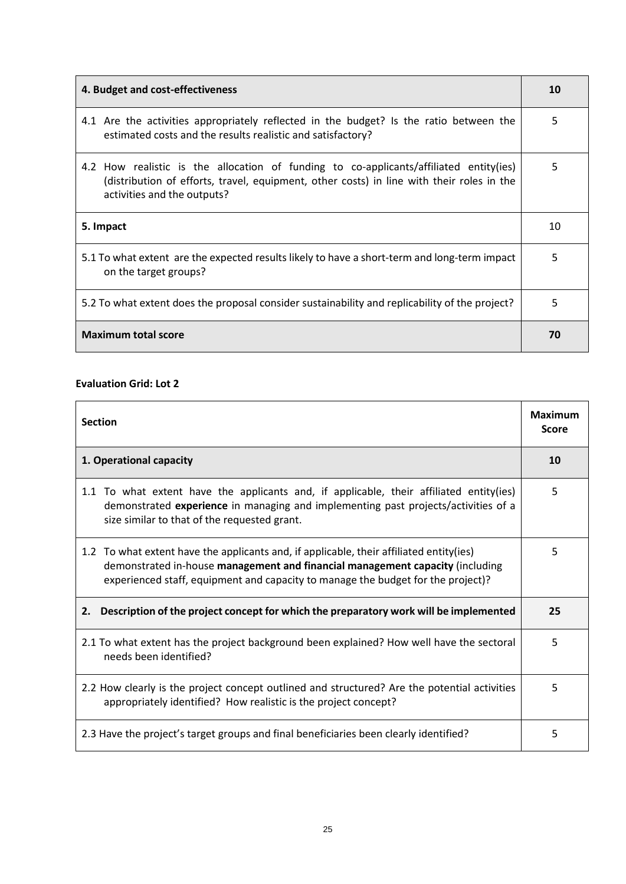| 4. Budget and cost-effectiveness                                                                                                                                                                                   |    |  |
|--------------------------------------------------------------------------------------------------------------------------------------------------------------------------------------------------------------------|----|--|
| 4.1 Are the activities appropriately reflected in the budget? Is the ratio between the<br>estimated costs and the results realistic and satisfactory?                                                              | 5  |  |
| 4.2 How realistic is the allocation of funding to co-applicants/affiliated entity(ies)<br>(distribution of efforts, travel, equipment, other costs) in line with their roles in the<br>activities and the outputs? | 5. |  |
| 5. Impact                                                                                                                                                                                                          |    |  |
| 5.1 To what extent are the expected results likely to have a short-term and long-term impact<br>on the target groups?                                                                                              |    |  |
| 5.2 To what extent does the proposal consider sustainability and replicability of the project?                                                                                                                     |    |  |
| <b>Maximum total score</b>                                                                                                                                                                                         |    |  |

## **Evaluation Grid: Lot 2**

| <b>Section</b>                                                                                                                                                                                                                                               |    |  |
|--------------------------------------------------------------------------------------------------------------------------------------------------------------------------------------------------------------------------------------------------------------|----|--|
| 1. Operational capacity                                                                                                                                                                                                                                      |    |  |
| 1.1 To what extent have the applicants and, if applicable, their affiliated entity(ies)<br>demonstrated experience in managing and implementing past projects/activities of a<br>size similar to that of the requested grant.                                | 5  |  |
| 1.2 To what extent have the applicants and, if applicable, their affiliated entity(ies)<br>demonstrated in-house management and financial management capacity (including<br>experienced staff, equipment and capacity to manage the budget for the project)? | 5. |  |
| 2. Description of the project concept for which the preparatory work will be implemented                                                                                                                                                                     | 25 |  |
| 2.1 To what extent has the project background been explained? How well have the sectoral<br>needs been identified?                                                                                                                                           |    |  |
| 2.2 How clearly is the project concept outlined and structured? Are the potential activities<br>appropriately identified? How realistic is the project concept?                                                                                              |    |  |
| 2.3 Have the project's target groups and final beneficiaries been clearly identified?                                                                                                                                                                        |    |  |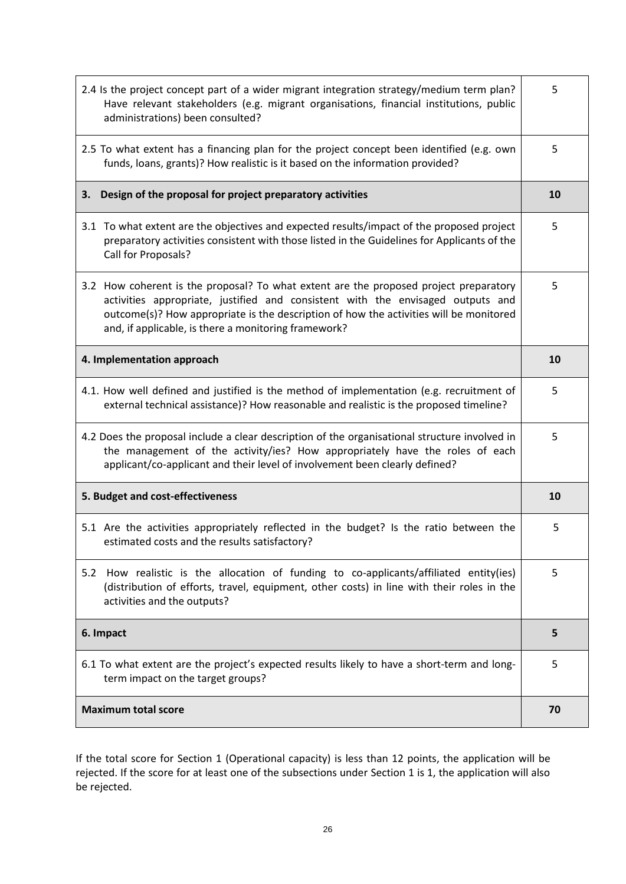| 2.4 Is the project concept part of a wider migrant integration strategy/medium term plan?<br>Have relevant stakeholders (e.g. migrant organisations, financial institutions, public<br>administrations) been consulted?                                                                                                    |    |  |
|----------------------------------------------------------------------------------------------------------------------------------------------------------------------------------------------------------------------------------------------------------------------------------------------------------------------------|----|--|
| 2.5 To what extent has a financing plan for the project concept been identified (e.g. own<br>funds, loans, grants)? How realistic is it based on the information provided?                                                                                                                                                 | 5  |  |
| Design of the proposal for project preparatory activities<br>3.                                                                                                                                                                                                                                                            | 10 |  |
| 3.1 To what extent are the objectives and expected results/impact of the proposed project<br>preparatory activities consistent with those listed in the Guidelines for Applicants of the<br>Call for Proposals?                                                                                                            | 5  |  |
| 3.2 How coherent is the proposal? To what extent are the proposed project preparatory<br>activities appropriate, justified and consistent with the envisaged outputs and<br>outcome(s)? How appropriate is the description of how the activities will be monitored<br>and, if applicable, is there a monitoring framework? | 5  |  |
| 4. Implementation approach                                                                                                                                                                                                                                                                                                 |    |  |
| 4.1. How well defined and justified is the method of implementation (e.g. recruitment of<br>external technical assistance)? How reasonable and realistic is the proposed timeline?                                                                                                                                         |    |  |
| 4.2 Does the proposal include a clear description of the organisational structure involved in<br>the management of the activity/ies? How appropriately have the roles of each<br>applicant/co-applicant and their level of involvement been clearly defined?                                                               | 5  |  |
| 5. Budget and cost-effectiveness                                                                                                                                                                                                                                                                                           |    |  |
| 5.1 Are the activities appropriately reflected in the budget? Is the ratio between the<br>estimated costs and the results satisfactory?                                                                                                                                                                                    | 5  |  |
| How realistic is the allocation of funding to co-applicants/affiliated entity(ies)<br>5.2<br>(distribution of efforts, travel, equipment, other costs) in line with their roles in the<br>activities and the outputs?                                                                                                      | 5  |  |
| 6. Impact                                                                                                                                                                                                                                                                                                                  |    |  |
| 6.1 To what extent are the project's expected results likely to have a short-term and long-<br>term impact on the target groups?                                                                                                                                                                                           |    |  |
| <b>Maximum total score</b>                                                                                                                                                                                                                                                                                                 |    |  |

If the total score for Section 1 (Operational capacity) is less than 12 points, the application will be rejected. If the score for at least one of the subsections under Section 1 is 1, the application will also be rejected.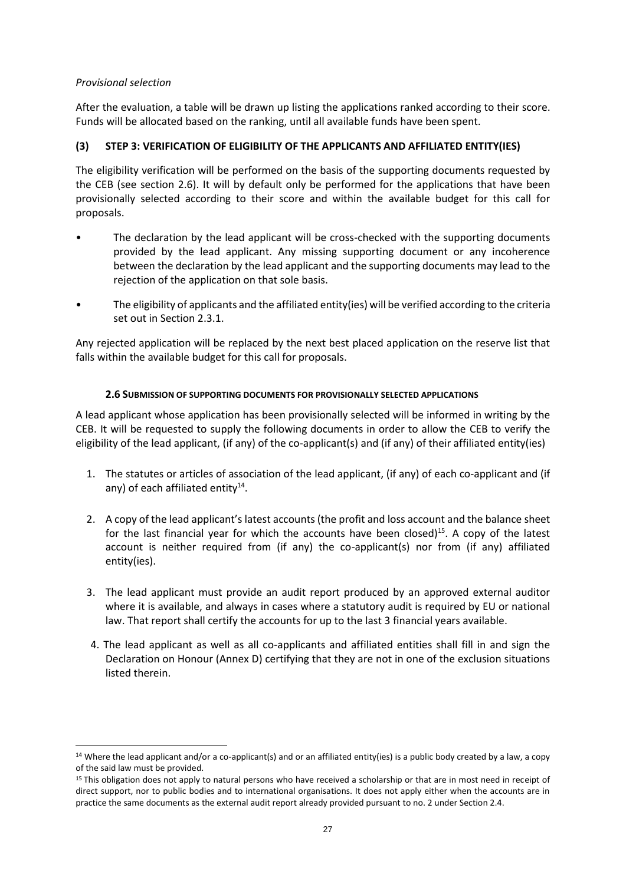# *Provisional selection*

1

After the evaluation, a table will be drawn up listing the applications ranked according to their score. Funds will be allocated based on the ranking, until all available funds have been spent.

# **(3) STEP 3: VERIFICATION OF ELIGIBILITY OF THE APPLICANTS AND AFFILIATED ENTITY(IES)**

The eligibility verification will be performed on the basis of the supporting documents requested by the CEB (see section 2.6). It will by default only be performed for the applications that have been provisionally selected according to their score and within the available budget for this call for proposals.

- The declaration by the lead applicant will be cross-checked with the supporting documents provided by the lead applicant. Any missing supporting document or any incoherence between the declaration by the lead applicant and the supporting documents may lead to the rejection of the application on that sole basis.
- The eligibility of applicants and the affiliated entity(ies) will be verified according to the criteria set out in Section 2.3.1.

Any rejected application will be replaced by the next best placed application on the reserve list that falls within the available budget for this call for proposals.

# **2.6 SUBMISSION OF SUPPORTING DOCUMENTS FOR PROVISIONALLY SELECTED APPLICATIONS**

<span id="page-26-0"></span>A lead applicant whose application has been provisionally selected will be informed in writing by the CEB. It will be requested to supply the following documents in order to allow the CEB to verify the eligibility of the lead applicant, (if any) of the co-applicant(s) and (if any) of their affiliated entity(ies)

- 1. The statutes or articles of association of the lead applicant, (if any) of each co-applicant and (if any) of each affiliated entity $^{14}$ .
- 2. A copy of the lead applicant's latest accounts (the profit and loss account and the balance sheet for the last financial year for which the accounts have been closed) $^{15}$ . A copy of the latest account is neither required from (if any) the co-applicant(s) nor from (if any) affiliated entity(ies).
- 3. The lead applicant must provide an audit report produced by an approved external auditor where it is available, and always in cases where a statutory audit is required by EU or national law. That report shall certify the accounts for up to the last 3 financial years available.
- 4. The lead applicant as well as all co-applicants and affiliated entities shall fill in and sign the Declaration on Honour (Annex D) certifying that they are not in one of the exclusion situations listed therein.

 $14$  Where the lead applicant and/or a co-applicant(s) and or an affiliated entity(ies) is a public body created by a law, a copy of the said law must be provided.

<sup>&</sup>lt;sup>15</sup> This obligation does not apply to natural persons who have received a scholarship or that are in most need in receipt of direct support, nor to public bodies and to international organisations. It does not apply either when the accounts are in practice the same documents as the external audit report already provided pursuant to no. 2 under Section 2.4.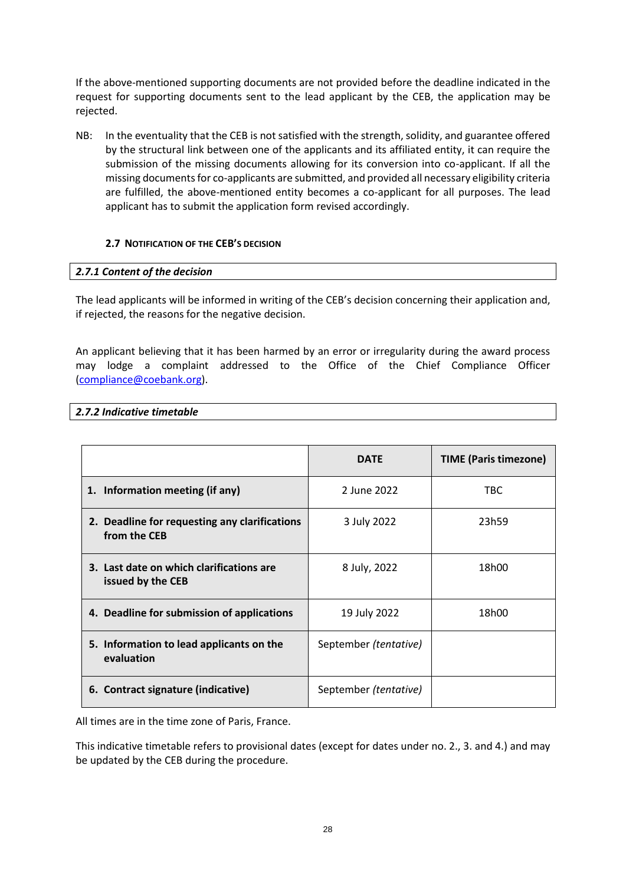If the above-mentioned supporting documents are not provided before the deadline indicated in the request for supporting documents sent to the lead applicant by the CEB, the application may be rejected.

NB: In the eventuality that the CEB is not satisfied with the strength, solidity, and guarantee offered by the structural link between one of the applicants and its affiliated entity, it can require the submission of the missing documents allowing for its conversion into co-applicant. If all the missing documents for co-applicants are submitted, and provided all necessary eligibility criteria are fulfilled, the above-mentioned entity becomes a co-applicant for all purposes. The lead applicant has to submit the application form revised accordingly.

# <span id="page-27-0"></span>**2.7 NOTIFICATION OF THE CEB'S DECISION**

# <span id="page-27-1"></span>*2.7.1 Content of the decision*

The lead applicants will be informed in writing of the CEB's decision concerning their application and, if rejected, the reasons for the negative decision.

An applicant believing that it has been harmed by an error or irregularity during the award process may lodge a complaint addressed to the Office of the Chief Compliance Officer [\(compliance@coebank.org\)](mailto:compliance@coebank.org).

#### <span id="page-27-2"></span>*2.7.2 Indicative timetable*

|                                                               | <b>DATE</b>           | <b>TIME (Paris timezone)</b> |
|---------------------------------------------------------------|-----------------------|------------------------------|
| 1. Information meeting (if any)                               | 2 June 2022           | TBC.                         |
| 2. Deadline for requesting any clarifications<br>from the CEB | 3 July 2022           | 23h59                        |
| 3. Last date on which clarifications are<br>issued by the CEB | 8 July, 2022          | 18h00                        |
| 4. Deadline for submission of applications                    | 19 July 2022          | 18h00                        |
| 5. Information to lead applicants on the<br>evaluation        | September (tentative) |                              |
| 6. Contract signature (indicative)                            | September (tentative) |                              |

All times are in the time zone of Paris, France.

This indicative timetable refers to provisional dates (except for dates under no. 2., 3. and 4.) and may be updated by the CEB during the procedure.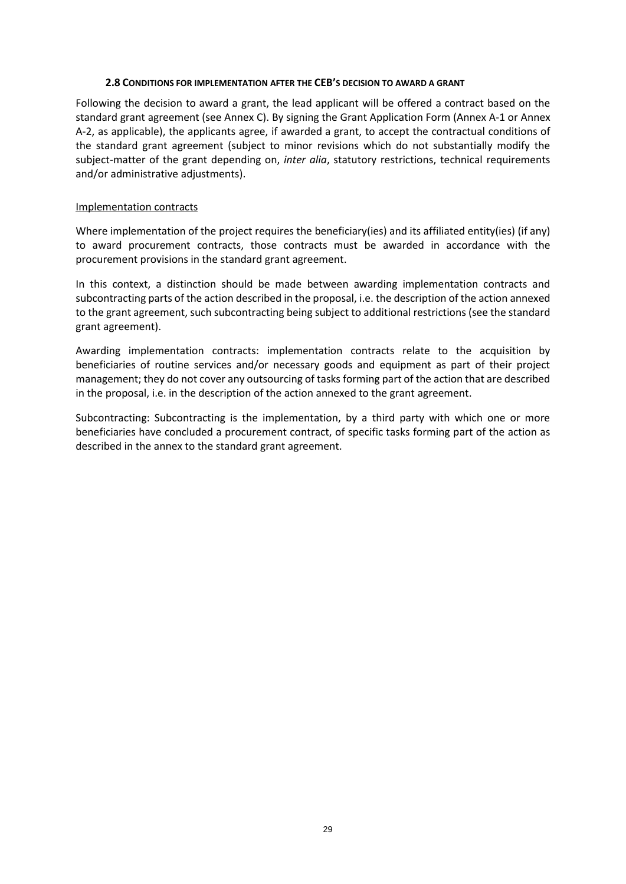#### **2.8 CONDITIONS FOR IMPLEMENTATION AFTER THE CEB'S DECISION TO AWARD A GRANT**

<span id="page-28-0"></span>Following the decision to award a grant, the lead applicant will be offered a contract based on the standard grant agreement (see Annex C). By signing the Grant Application Form (Annex A-1 or Annex A-2, as applicable), the applicants agree, if awarded a grant, to accept the contractual conditions of the standard grant agreement (subject to minor revisions which do not substantially modify the subject-matter of the grant depending on, *inter alia*, statutory restrictions, technical requirements and/or administrative adjustments).

#### Implementation contracts

Where implementation of the project requires the beneficiary(ies) and its affiliated entity(ies) (if any) to award procurement contracts, those contracts must be awarded in accordance with the procurement provisions in the standard grant agreement.

In this context, a distinction should be made between awarding implementation contracts and subcontracting parts of the action described in the proposal, i.e. the description of the action annexed to the grant agreement, such subcontracting being subject to additional restrictions (see the standard grant agreement).

Awarding implementation contracts: implementation contracts relate to the acquisition by beneficiaries of routine services and/or necessary goods and equipment as part of their project management; they do not cover any outsourcing of tasks forming part of the action that are described in the proposal, i.e. in the description of the action annexed to the grant agreement.

Subcontracting: Subcontracting is the implementation, by a third party with which one or more beneficiaries have concluded a procurement contract, of specific tasks forming part of the action as described in the annex to the standard grant agreement.